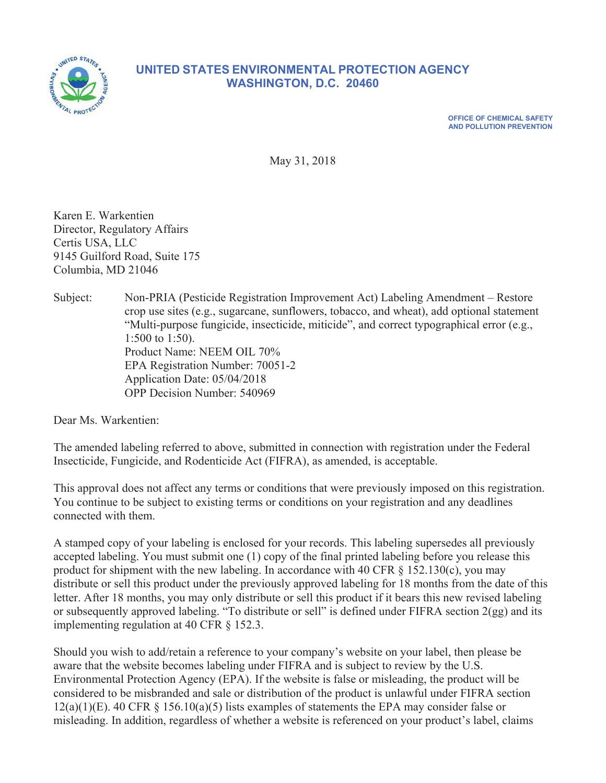

# **81,820, BETATES ENVIRONMENTAL PROTECTION AGENCY WASHINGTON, D.C. 20460**

**2) OFFICE OF CHEMICAL SAFETY AND POLLUTION PREVENTION** 

May 31, 2018

Karen E. Warkentien Director, Regulatory Affairs Certis USA, LLC 9145 Guilford Road, Suite 175 Columbia, MD 21046

Subject: Non-PRIA (Pesticide Registration Improvement Act) Labeling Amendment – Restore crop use sites (e.g., sugarcane, sunflowers, tobacco, and wheat), add optional statement "Multi-purpose fungicide, insecticide, miticide", and correct typographical error (e.g.,  $1:500$  to  $1:50$ ). Product Name: NEEM OIL 70% EPA Registration Number: 70051-2 Application Date: 05/04/2018 OPP Decision Number: 540969

Dear Ms. Warkentien:

The amended labeling referred to above, submitted in connection with registration under the Federal Insecticide, Fungicide, and Rodenticide Act (FIFRA), as amended, is acceptable.

This approval does not affect any terms or conditions that were previously imposed on this registration. You continue to be subject to existing terms or conditions on your registration and any deadlines connected with them.

A stamped copy of your labeling is enclosed for your records. This labeling supersedes all previously accepted labeling. You must submit one  $(1)$  copy of the final printed labeling before you release this product for shipment with the new labeling. In accordance with 40 CFR  $\S$  152.130(c), you may distribute or sell this product under the previously approved labeling for 18 months from the date of this letter. After 18 months, you may only distribute or sell this product if it bears this new revised labeling or subsequently approved labeling. "To distribute or sell" is defined under FIFRA section  $2(gg)$  and its implementing regulation at 40 CFR  $\S$  152.3.

Should you wish to add/retain a reference to your company's website on your label, then please be aware that the website becomes labeling under FIFRA and is subject to review by the U.S. Environmental Protection Agency (EPA). If the website is false or misleading, the product will be considered to be misbranded and sale or distribution of the product is unlawful under FIFRA section  $12(a)(1)(E)$ . 40 CFR § 156.10(a)(5) lists examples of statements the EPA may consider false or misleading. In addition, regardless of whether a website is referenced on your product's label, claims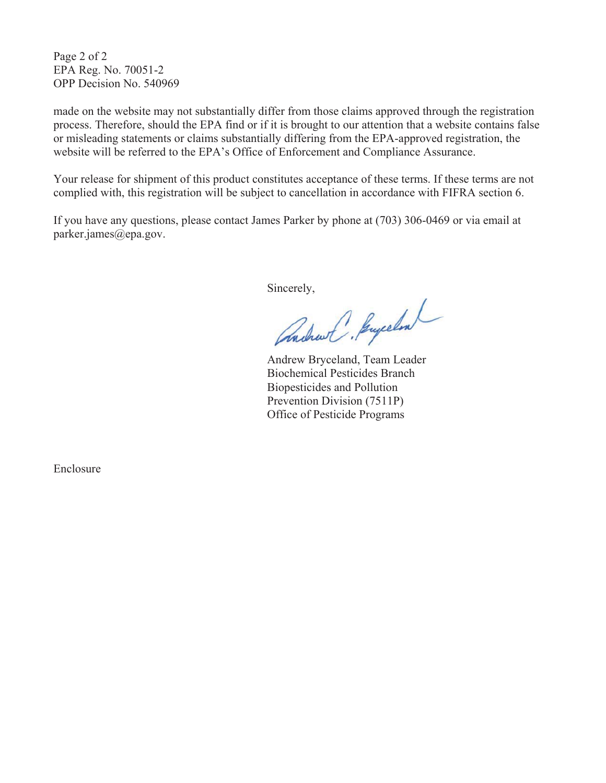Page 2 of 2 EPA Reg. No. 70051-2 OPP Decision No. 540969

made on the website may not substantially differ from those claims approved through the registration process. Therefore, should the EPA find or if it is brought to our attention that a website contains false or misleading statements or claims substantially differing from the EPA-approved registration, the website will be referred to the EPA's Office of Enforcement and Compliance Assurance.

Your release for shipment of this product constitutes acceptance of these terms. If these terms are not complied with, this registration will be subject to cancellation in accordance with FIFRA section 6.

If you have any questions, please contact James Parker by phone at  $(703)$  306-0469 or via email at parker.james@epa.gov.

Sincerely,

andrew C. Buycelon

Andrew Bryceland, Team Leader Biochemical Pesticides Branch Biopesticides and Pollution Prevention Division (7511P) Office of Pesticide Programs

Enclosure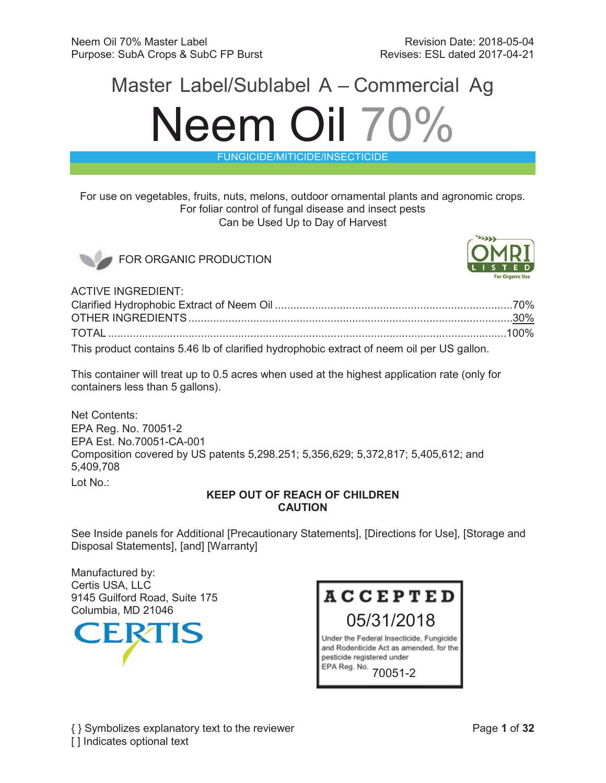# Master Label/Sublabel A – Commercial Ag Neem Oil 70%

FUNGICIDE/MITICIDE/INSECTICIDE

For use on vegetables, fruits, nuts, melons, outdoor ornamental plants and agronomic crops. For foliar control of fungal disease and insect pests Can be Used Up to Day of Harvest



FOR ORGANIC PRODUCTION



ACTIVE INGREDIENT:

| This product contains 5.46 lb of clarified hydrophobic extract of neem oil per US gallon. |  |
|-------------------------------------------------------------------------------------------|--|

This container will treat up to 0.5 acres when used at the highest application rate (only for containers less than 5 gallons).

Net Contents: EPA Reg. No. 70051-2 EPA Est. No.70051-CA-001 Composition covered by US patents 5,298.251; 5,356,629; 5,372,817; 5,405,612; and 5,409,708 Lot No.:

# **KEEP OUT OF REACH OF CHILDREN CAUTION**

See Inside panels for Additional [Precautionary Statements], [Directions for Use], [Storage and Disposal Statements], [and] [Warranty]

Manufactured by: Certis USA, LLC 9145 Guilford Road, Suite 175



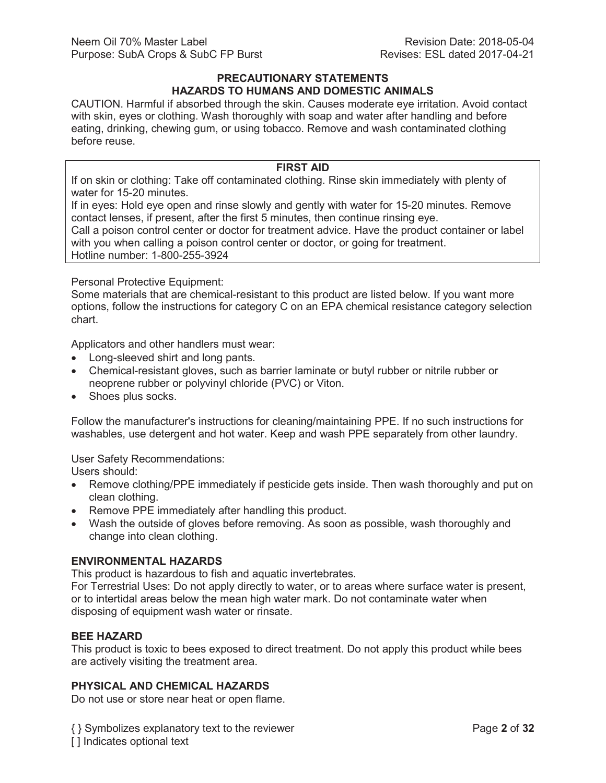#### **PRECAUTIONARY STATEMENTS HAZARDS TO HUMANS AND DOMESTIC ANIMALS**

CAUTION. Harmful if absorbed through the skin. Causes moderate eye irritation. Avoid contact with skin, eyes or clothing. Wash thoroughly with soap and water after handling and before eating, drinking, chewing gum, or using tobacco. Remove and wash contaminated clothing before reuse.

### **FIRST AID**

If on skin or clothing: Take off contaminated clothing. Rinse skin immediately with plenty of water for 15-20 minutes.

If in eyes: Hold eye open and rinse slowly and gently with water for 15-20 minutes. Remove contact lenses, if present, after the first 5 minutes, then continue rinsing eye.

Call a poison control center or doctor for treatment advice. Have the product container or label with you when calling a poison control center or doctor, or going for treatment. Hotline number: 1-800-255-3924

Personal Protective Equipment:

Some materials that are chemical-resistant to this product are listed below. If you want more options, follow the instructions for category C on an EPA chemical resistance category selection chart.

Applicators and other handlers must wear:

- Long-sleeved shirt and long pants.
- Chemical-resistant gloves, such as barrier laminate or butyl rubber or nitrile rubber or neoprene rubber or polyvinyl chloride (PVC) or Viton.
- Shoes plus socks.

Follow the manufacturer's instructions for cleaning/maintaining PPE. If no such instructions for washables, use detergent and hot water. Keep and wash PPE separately from other laundry.

User Safety Recommendations:

Users should:

- Remove clothing/PPE immediately if pesticide gets inside. Then wash thoroughly and put on clean clothing.
- Remove PPE immediately after handling this product.
- Wash the outside of gloves before removing. As soon as possible, wash thoroughly and change into clean clothing.

# **ENVIRONMENTAL HAZARDS**

This product is hazardous to fish and aquatic invertebrates.

For Terrestrial Uses: Do not apply directly to water, or to areas where surface water is present, or to intertidal areas below the mean high water mark. Do not contaminate water when disposing of equipment wash water or rinsate.

# **BEE HAZARD**

This product is toxic to bees exposed to direct treatment. Do not apply this product while bees are actively visiting the treatment area.

# **PHYSICAL AND CHEMICAL HAZARDS**

Do not use or store near heat or open flame.

{ } Symbolizes explanatory text to the reviewer Page **2** of **32** [] Indicates optional text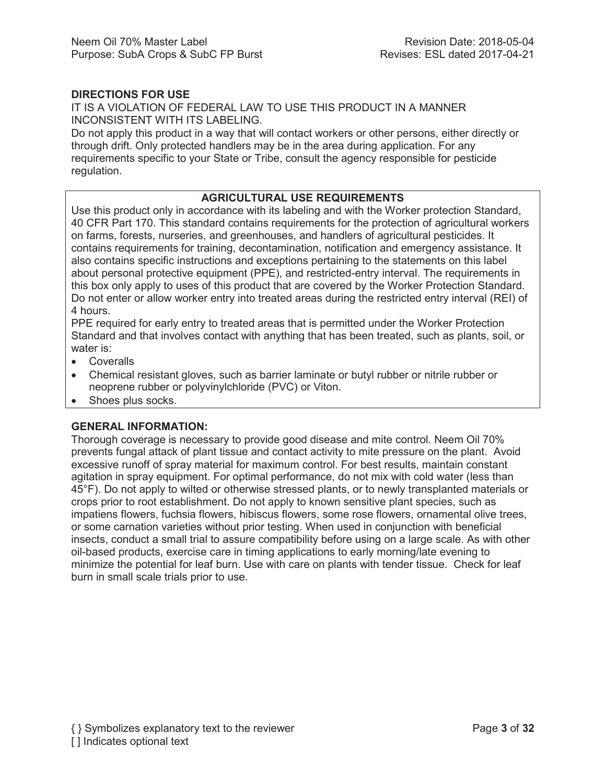# **DIRECTIONS FOR USE**

IT IS A VIOLATION OF FEDERAL LAW TO USE THIS PRODUCT IN A MANNER INCONSISTENT WITH ITS LABELING.

Do not apply this product in a way that will contact workers or other persons, either directly or through drift. Only protected handlers may be in the area during application. For any requirements specific to your State or Tribe, consult the agency responsible for pesticide regulation.

# **AGRICULTURAL USE REQUIREMENTS**

Use this product only in accordance with its labeling and with the Worker protection Standard, 40 CFR Part 170. This standard contains requirements for the protection of agricultural workers on farms, forests, nurseries, and greenhouses, and handlers of agricultural pesticides. It contains requirements for training, decontamination, notification and emergency assistance. It also contains specific instructions and exceptions pertaining to the statements on this label about personal protective equipment (PPE), and restricted-entry interval. The requirements in this box only apply to uses of this product that are covered by the Worker Protection Standard. Do not enter or allow worker entry into treated areas during the restricted entry interval (REI) of 4 hours.

PPE required for early entry to treated areas that is permitted under the Worker Protection Standard and that involves contact with anything that has been treated, such as plants, soil, or water is:

- Coveralls
- Chemical resistant gloves, such as barrier laminate or butyl rubber or nitrile rubber or neoprene rubber or polyvinylchloride (PVC) or Viton.
- Shoes plus socks.

#### **GENERAL INFORMATION:**

Thorough coverage is necessary to provide good disease and mite control. Neem Oil 70% prevents fungal attack of plant tissue and contact activity to mite pressure on the plant. Avoid excessive runoff of spray material for maximum control. For best results, maintain constant agitation in spray equipment. For optimal performance, do not mix with cold water (less than 45°F). Do not apply to wilted or otherwise stressed plants, or to newly transplanted materials or crops prior to root establishment. Do not apply to known sensitive plant species, such as impatiens flowers, fuchsia flowers, hibiscus flowers, some rose flowers, ornamental olive trees, or some carnation varieties without prior testing. When used in conjunction with beneficial insects, conduct a small trial to assure compatibility before using on a large scale. As with other oil-based products, exercise care in timing applications to early morning/late evening to minimize the potential for leaf burn. Use with care on plants with tender tissue. Check for leaf burn in small scale trials prior to use.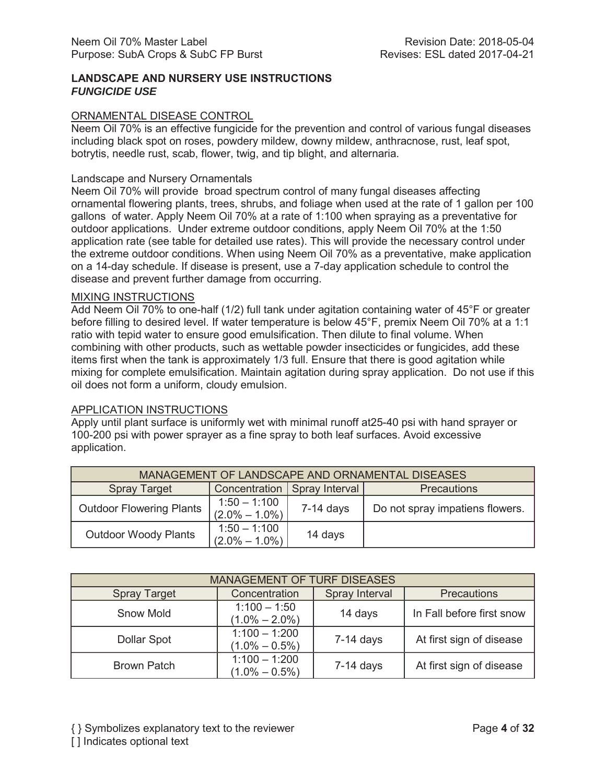# **LANDSCAPE AND NURSERY USE INSTRUCTIONS** *FUNGICIDE USE*

#### ORNAMENTAL DISEASE CONTROL

Neem Oil 70% is an effective fungicide for the prevention and control of various fungal diseases including black spot on roses, powdery mildew, downy mildew, anthracnose, rust, leaf spot, botrytis, needle rust, scab, flower, twig, and tip blight, and alternaria.

#### Landscape and Nursery Ornamentals

Neem Oil 70% will provide broad spectrum control of many fungal diseases affecting ornamental flowering plants, trees, shrubs, and foliage when used at the rate of 1 gallon per 100 gallons of water. Apply Neem Oil 70% at a rate of 1:100 when spraying as a preventative for outdoor applications. Under extreme outdoor conditions, apply Neem Oil 70% at the 1:50 application rate (see table for detailed use rates). This will provide the necessary control under the extreme outdoor conditions. When using Neem Oil 70% as a preventative, make application on a 14-day schedule. If disease is present, use a 7-day application schedule to control the disease and prevent further damage from occurring.

#### MIXING INSTRUCTIONS

Add Neem Oil 70% to one-half (1/2) full tank under agitation containing water of 45°F or greater before filling to desired level. If water temperature is below 45°F, premix Neem Oil 70% at a 1:1 ratio with tepid water to ensure good emulsification. Then dilute to final volume. When combining with other products, such as wettable powder insecticides or fungicides, add these items first when the tank is approximately 1/3 full. Ensure that there is good agitation while mixing for complete emulsification. Maintain agitation during spray application. Do not use if this oil does not form a uniform, cloudy emulsion.

#### APPLICATION INSTRUCTIONS

Apply until plant surface is uniformly wet with minimal runoff at25-40 psi with hand sprayer or 100-200 psi with power sprayer as a fine spray to both leaf surfaces. Avoid excessive application.

| MANAGEMENT OF LANDSCAPE AND ORNAMENTAL DISEASES |                                     |                                |                                 |
|-------------------------------------------------|-------------------------------------|--------------------------------|---------------------------------|
| <b>Spray Target</b>                             |                                     | Concentration   Spray Interval | <b>Precautions</b>              |
| <b>Outdoor Flowering Plants</b>                 | $1:50 - 1:100$<br>$(2.0\% - 1.0\%)$ | $7-14$ days                    | Do not spray impatiens flowers. |
| <b>Outdoor Woody Plants</b>                     | $1:50 - 1:100$<br>$(2.0\% - 1.0\%)$ | 14 days                        |                                 |

| <b>MANAGEMENT OF TURF DISEASES</b> |                                      |                |                           |
|------------------------------------|--------------------------------------|----------------|---------------------------|
| <b>Spray Target</b>                | Concentration                        | Spray Interval | <b>Precautions</b>        |
| <b>Snow Mold</b>                   | $1:100 - 1:50$<br>$(1.0\% - 2.0\%)$  | 14 days        | In Fall before first snow |
| Dollar Spot                        | $1:100 - 1:200$<br>$(1.0\% - 0.5\%)$ | $7-14$ days    | At first sign of disease  |
| <b>Brown Patch</b>                 | $1:100 - 1:200$<br>$(1.0\% - 0.5\%)$ | $7-14$ days    | At first sign of disease  |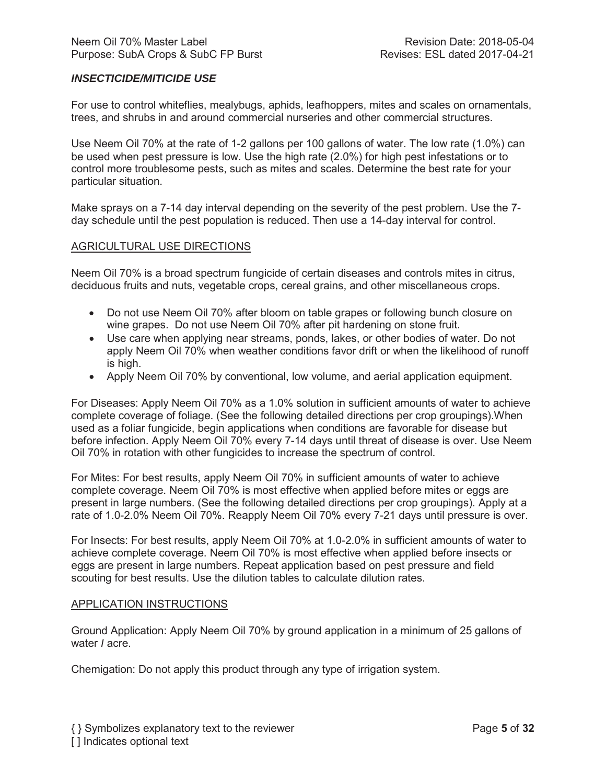# *INSECTICIDE/MITICIDE USE*

For use to control whiteflies, mealybugs, aphids, leafhoppers, mites and scales on ornamentals, trees, and shrubs in and around commercial nurseries and other commercial structures.

Use Neem Oil 70% at the rate of 1-2 gallons per 100 gallons of water. The low rate (1.0%) can be used when pest pressure is low. Use the high rate (2.0%) for high pest infestations or to control more troublesome pests, such as mites and scales. Determine the best rate for your particular situation.

Make sprays on a 7-14 day interval depending on the severity of the pest problem. Use the 7 day schedule until the pest population is reduced. Then use a 14-day interval for control.

#### AGRICULTURAL USE DIRECTIONS

Neem Oil 70% is a broad spectrum fungicide of certain diseases and controls mites in citrus, deciduous fruits and nuts, vegetable crops, cereal grains, and other miscellaneous crops.

- Do not use Neem Oil 70% after bloom on table grapes or following bunch closure on wine grapes. Do not use Neem Oil 70% after pit hardening on stone fruit.
- Use care when applying near streams, ponds, lakes, or other bodies of water. Do not apply Neem Oil 70% when weather conditions favor drift or when the likelihood of runoff is high.
- Apply Neem Oil 70% by conventional, low volume, and aerial application equipment.

For Diseases: Apply Neem Oil 70% as a 1.0% solution in sufficient amounts of water to achieve complete coverage of foliage. (See the following detailed directions per crop groupings).When used as a foliar fungicide, begin applications when conditions are favorable for disease but before infection. Apply Neem Oil 70% every 7-14 days until threat of disease is over. Use Neem Oil 70% in rotation with other fungicides to increase the spectrum of control.

For Mites: For best results, apply Neem Oil 70% in sufficient amounts of water to achieve complete coverage. Neem Oil 70% is most effective when applied before mites or eggs are present in large numbers. (See the following detailed directions per crop groupings). Apply at a rate of 1.0-2.0% Neem Oil 70%. Reapply Neem Oil 70% every 7-21 days until pressure is over.

For Insects: For best results, apply Neem Oil 70% at 1.0-2.0% in sufficient amounts of water to achieve complete coverage. Neem Oil 70% is most effective when applied before insects or eggs are present in large numbers. Repeat application based on pest pressure and field scouting for best results. Use the dilution tables to calculate dilution rates.

#### APPLICATION INSTRUCTIONS

Ground Application: Apply Neem Oil 70% by ground application in a minimum of 25 gallons of water *I* acre.

Chemigation: Do not apply this product through any type of irrigation system.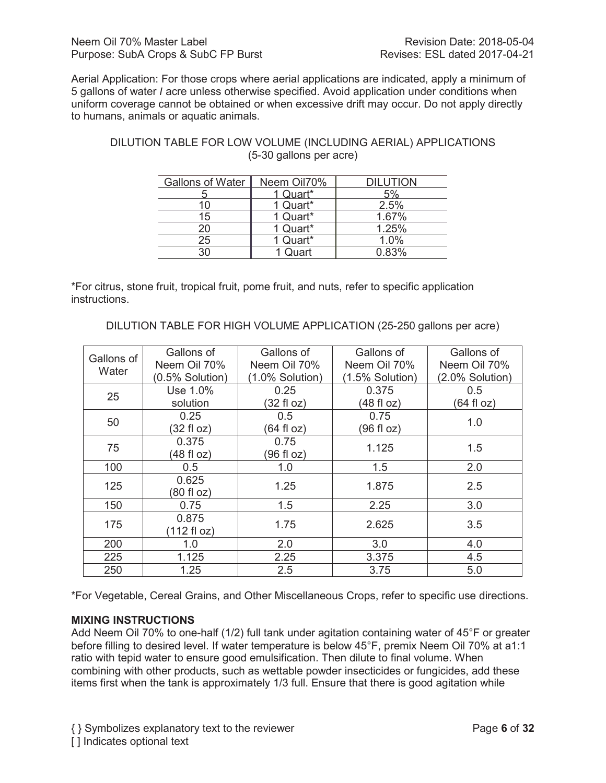Aerial Application: For those crops where aerial applications are indicated, apply a minimum of 5 gallons of water *I* acre unless otherwise specified. Avoid application under conditions when uniform coverage cannot be obtained or when excessive drift may occur. Do not apply directly to humans, animals or aquatic animals.

| <b>Gallons of Water</b> | Neem Oil70% | <b>DILUTION</b> |
|-------------------------|-------------|-----------------|
|                         | Quart*      | 5%              |
| 10                      | 1 Quart*    | 2.5%            |
| 15                      | 1 Quart*    | 1.67%           |
| 20                      | 1 Quart*    | 1.25%           |
| 25                      | 1 Quart*    | 1.0%            |
| ٩Û                      | 1 Quart     | 0.83%           |

# DILUTION TABLE FOR LOW VOLUME (INCLUDING AERIAL) APPLICATIONS (5-30 gallons per acre)

\*For citrus, stone fruit, tropical fruit, pome fruit, and nuts, refer to specific application instructions.

DILUTION TABLE FOR HIGH VOLUME APPLICATION (25-250 gallons per acre)

| Gallons of | Gallons of      | Gallons of      | Gallons of         | Gallons of      |
|------------|-----------------|-----------------|--------------------|-----------------|
| Water      | Neem Oil 70%    | Neem Oil 70%    | Neem Oil 70%       | Neem Oil 70%    |
|            | (0.5% Solution) | (1.0% Solution) | $(1.5\%$ Solution) | (2.0% Solution) |
| 25         | Use 1.0%        | 0.25            | 0.375              | 0.5             |
|            | solution        | (32 fl oz)      | (48 fl oz)         | (64 fl oz)      |
|            | 0.25            | 0.5             | 0.75               |                 |
| 50         | (32 fl oz)      | (64 fl oz)      | (96 fl oz)         | 1.0             |
| 75         | 0.375           | 0.75            | 1.125              | 1.5             |
|            | (48 fl oz)      | (96 fl oz)      |                    |                 |
| 100        | 0.5             | 1.0             | 1.5                | 2.0             |
| 125        | 0.625           | 1.25            | 1.875              | 2.5             |
|            | (80 fl oz)      |                 |                    |                 |
| 150        | 0.75            | 1.5             | 2.25               | 3.0             |
| 175        | 0.875           | 1.75            | 2.625              | 3.5             |
|            | (112 fl oz)     |                 |                    |                 |
| 200        | 1.0             | 2.0             | 3.0                | 4.0             |
| 225        | 1.125           | 2.25            | 3.375              | 4.5             |
| 250        | 1.25            | 2.5             | 3.75               | 5.0             |

\*For Vegetable, Cereal Grains, and Other Miscellaneous Crops, refer to specific use directions.

# **MIXING INSTRUCTIONS**

Add Neem Oil 70% to one-half (1/2) full tank under agitation containing water of 45°F or greater before filling to desired level. If water temperature is below 45°F, premix Neem Oil 70% at a1:1 ratio with tepid water to ensure good emulsification. Then dilute to final volume. When combining with other products, such as wettable powder insecticides or fungicides, add these items first when the tank is approximately 1/3 full. Ensure that there is good agitation while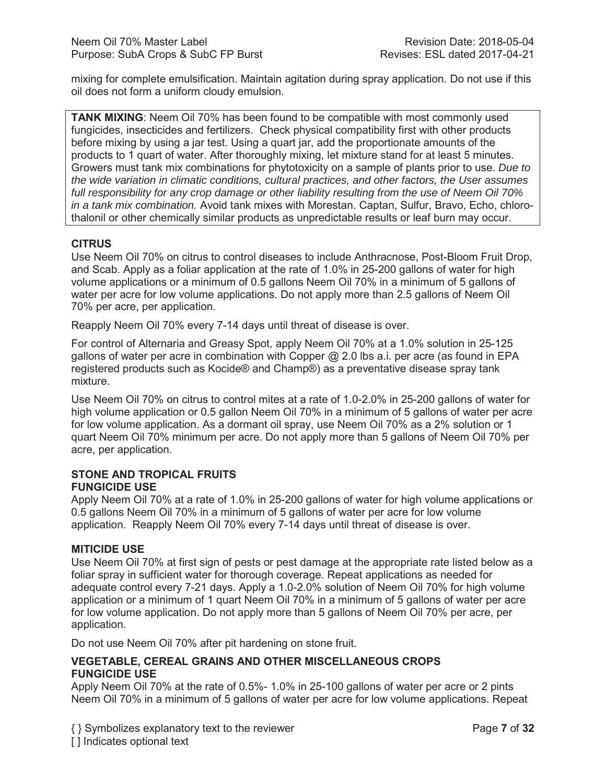mixing for complete emulsification. Maintain agitation during spray application. Do not use if this oil does not form a uniform cloudy emulsion.

**TANK MIXING**: Neem Oil 70% has been found to be compatible with most commonly used fungicides, insecticides and fertilizers. Check physical compatibility first with other products before mixing by using a jar test. Using a quart jar, add the proportionate amounts of the products to 1 quart of water. After thoroughly mixing, let mixture stand for at least 5 minutes. Growers must tank mix combinations for phytotoxicity on a sample of plants prior to use. *Due to the wide variation in climatic conditions, cultural practices, and other factors, the User assumes full responsibility for any crop damage or other liability resulting from the use of Neem Oil 70% in a tank mix combination.* Avoid tank mixes with Morestan. Captan, Sulfur, Bravo, Echo, chlorothalonil or other chemically similar products as unpredictable results or leaf burn may occur.

# **CITRUS**

Use Neem Oil 70% on citrus to control diseases to include Anthracnose, Post-Bloom Fruit Drop, and Scab. Apply as a foliar application at the rate of 1.0% in 25-200 gallons of water for high volume applications or a minimum of 0.5 gallons Neem Oil 70% in a minimum of 5 gallons of water per acre for low volume applications. Do not apply more than 2.5 gallons of Neem Oil 70% per acre, per application.

Reapply Neem Oil 70% every 7-14 days until threat of disease is over.

For control of Alternaria and Greasy Spot, apply Neem Oil 70% at a 1.0% solution in 25-125 gallons of water per acre in combination with Copper  $@$  2.0 lbs a.i. per acre (as found in EPA registered products such as Kocide® and Champ®) as a preventative disease spray tank mixture.

Use Neem Oil 70% on citrus to control mites at a rate of 1.0-2.0% in 25-200 gallons of water for high volume application or 0.5 gallon Neem Oil 70% in a minimum of 5 gallons of water per acre for low volume application. As a dormant oil spray, use Neem Oil 70% as a 2% solution or 1 quart Neem Oil 70% minimum per acre. Do not apply more than 5 gallons of Neem Oil 70% per acre, per application.

# **STONE AND TROPICAL FRUITS FUNGICIDE USE**

Apply Neem Oil 70% at a rate of 1.0% in 25-200 gallons of water for high volume applications or 0.5 gallons Neem Oil 70% in a minimum of 5 gallons of water per acre for low volume application. Reapply Neem Oil 70% every 7-14 days until threat of disease is over.

# **MITICIDE USE**

Use Neem Oil 70% at first sign of pests or pest damage at the appropriate rate listed below as a foliar spray in sufficient water for thorough coverage. Repeat applications as needed for adequate control every 7-21 days. Apply a 1.0-2.0% solution of Neem Oil 70% for high volume application or a minimum of 1 quart Neem Oil 70% in a minimum of 5 gallons of water per acre for low volume application. Do not apply more than 5 gallons of Neem Oil 70% per acre, per application.

Do not use Neem Oil 70% after pit hardening on stone fruit.

# **VEGETABLE, CEREAL GRAINS AND OTHER MISCELLANEOUS CROPS FUNGICIDE USE**

Apply Neem Oil 70% at the rate of 0.5%- 1.0% in 25-100 gallons of water per acre or 2 pints Neem Oil 70% in a minimum of 5 gallons of water per acre for low volume applications. Repeat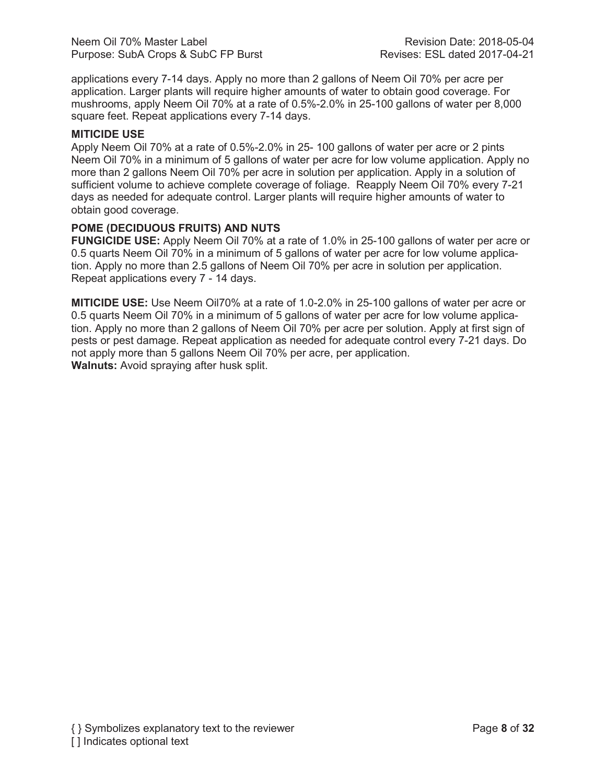applications every 7-14 days. Apply no more than 2 gallons of Neem Oil 70% per acre per application. Larger plants will require higher amounts of water to obtain good coverage. For mushrooms, apply Neem Oil 70% at a rate of 0.5%-2.0% in 25-100 gallons of water per 8,000 square feet. Repeat applications every 7-14 days.

# **MITICIDE USE**

Apply Neem Oil 70% at a rate of 0.5%-2.0% in 25- 100 gallons of water per acre or 2 pints Neem Oil 70% in a minimum of 5 gallons of water per acre for low volume application. Apply no more than 2 gallons Neem Oil 70% per acre in solution per application. Apply in a solution of sufficient volume to achieve complete coverage of foliage. Reapply Neem Oil 70% every 7-21 days as needed for adequate control. Larger plants will require higher amounts of water to obtain good coverage.

# **POME (DECIDUOUS FRUITS) AND NUTS**

**FUNGICIDE USE:** Apply Neem Oil 70% at a rate of 1.0% in 25-100 gallons of water per acre or 0.5 quarts Neem Oil 70% in a minimum of 5 gallons of water per acre for low volume application. Apply no more than 2.5 gallons of Neem Oil 70% per acre in solution per application. Repeat applications every 7 - 14 days.

**MITICIDE USE:** Use Neem Oil70% at a rate of 1.0-2.0% in 25-100 gallons of water per acre or 0.5 quarts Neem Oil 70% in a minimum of 5 gallons of water per acre for low volume application. Apply no more than 2 gallons of Neem Oil 70% per acre per solution. Apply at first sign of pests or pest damage. Repeat application as needed for adequate control every 7-21 days. Do not apply more than 5 gallons Neem Oil 70% per acre, per application. **Walnuts:** Avoid spraying after husk split.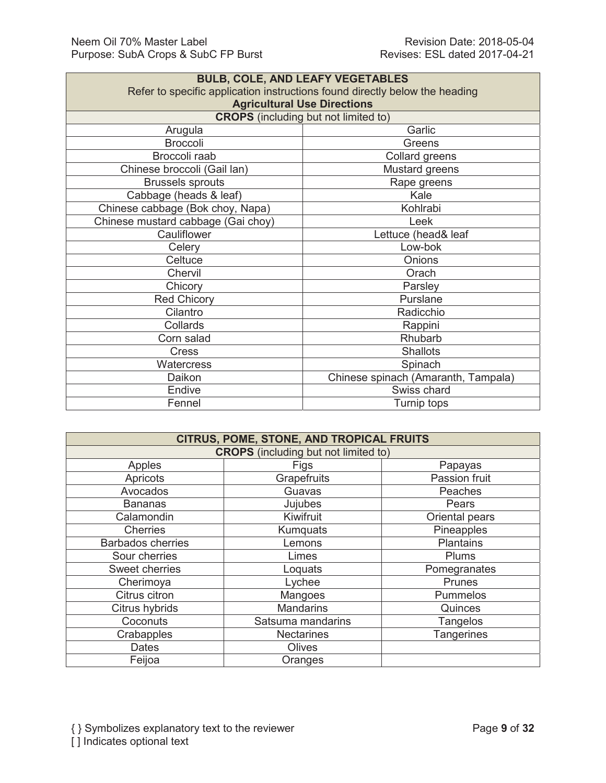| <b>BULB, COLE, AND LEAFY VEGETABLES</b>                                        |  |  |
|--------------------------------------------------------------------------------|--|--|
| Refer to specific application instructions found directly below the heading    |  |  |
| <b>Agricultural Use Directions</b>                                             |  |  |
| <b>CROPS</b> (including but not limited to)                                    |  |  |
| Garlic                                                                         |  |  |
| Greens                                                                         |  |  |
| Collard greens                                                                 |  |  |
| Mustard greens                                                                 |  |  |
| Rape greens                                                                    |  |  |
| Kale                                                                           |  |  |
| Kohlrabi                                                                       |  |  |
| Chinese cabbage (Bok choy, Napa)<br>Chinese mustard cabbage (Gai choy)<br>Leek |  |  |
| Lettuce (head& leaf                                                            |  |  |
| Low-bok                                                                        |  |  |
| Onions                                                                         |  |  |
| Orach                                                                          |  |  |
| Parsley                                                                        |  |  |
| Purslane                                                                       |  |  |
| Radicchio                                                                      |  |  |
| Rappini                                                                        |  |  |
| Rhubarb                                                                        |  |  |
| <b>Shallots</b>                                                                |  |  |
| Spinach                                                                        |  |  |
| Chinese spinach (Amaranth, Tampala)                                            |  |  |
| Swiss chard                                                                    |  |  |
| Fennel<br>Turnip tops                                                          |  |  |
|                                                                                |  |  |

| <b>CITRUS, POME, STONE, AND TROPICAL FRUITS</b> |                   |                   |
|-------------------------------------------------|-------------------|-------------------|
| <b>CROPS</b> (including but not limited to)     |                   |                   |
| Apples                                          | Figs              | Papayas           |
| Apricots                                        | Grapefruits       | Passion fruit     |
| Avocados                                        | Guavas            | Peaches           |
| <b>Bananas</b>                                  | Jujubes           | Pears             |
| Calamondin                                      | Kiwifruit         | Oriental pears    |
| <b>Cherries</b>                                 | Kumquats          | Pineapples        |
| <b>Barbados cherries</b>                        | Lemons            | <b>Plantains</b>  |
| Sour cherries                                   | Limes             | Plums             |
| Sweet cherries                                  | Loquats           | Pomegranates      |
| Cherimoya                                       | Lychee            | <b>Prunes</b>     |
| Citrus citron                                   | Mangoes           | Pummelos          |
| Citrus hybrids                                  | <b>Mandarins</b>  | Quinces           |
| Coconuts                                        | Satsuma mandarins | Tangelos          |
| Crabapples                                      | <b>Nectarines</b> | <b>Tangerines</b> |
| <b>Dates</b>                                    | <b>Olives</b>     |                   |
| Feijoa                                          | Oranges           |                   |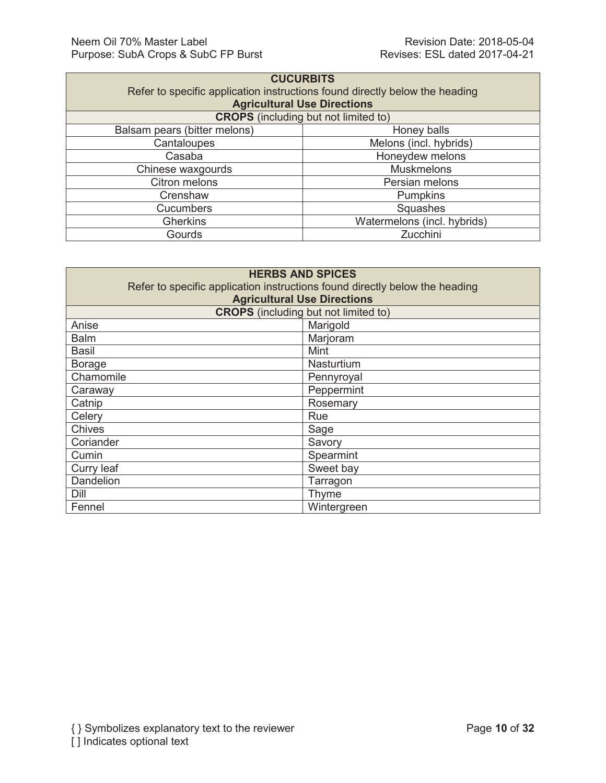÷

| <b>CUCURBITS</b>                                                            |  |  |
|-----------------------------------------------------------------------------|--|--|
| Refer to specific application instructions found directly below the heading |  |  |
| <b>Agricultural Use Directions</b>                                          |  |  |
| <b>CROPS</b> (including but not limited to)                                 |  |  |
| Honey balls                                                                 |  |  |
| Melons (incl. hybrids)                                                      |  |  |
| Honeydew melons                                                             |  |  |
| <b>Muskmelons</b><br>Chinese waxgourds                                      |  |  |
| Persian melons                                                              |  |  |
| <b>Pumpkins</b>                                                             |  |  |
| Squashes                                                                    |  |  |
| Watermelons (incl. hybrids)                                                 |  |  |
| Zucchini                                                                    |  |  |
|                                                                             |  |  |

| <b>HERBS AND SPICES</b>                                                     |                                             |  |
|-----------------------------------------------------------------------------|---------------------------------------------|--|
| Refer to specific application instructions found directly below the heading |                                             |  |
|                                                                             | <b>Agricultural Use Directions</b>          |  |
|                                                                             | <b>CROPS</b> (including but not limited to) |  |
| Anise                                                                       | Marigold                                    |  |
| <b>Balm</b>                                                                 | Marjoram                                    |  |
| Basil                                                                       | Mint                                        |  |
| <b>Borage</b>                                                               | Nasturtium                                  |  |
| Chamomile                                                                   | Pennyroyal                                  |  |
| Caraway                                                                     | Peppermint                                  |  |
| Catnip                                                                      | Rosemary                                    |  |
| Celery                                                                      | Rue                                         |  |
| <b>Chives</b>                                                               | Sage                                        |  |
| Coriander                                                                   | Savory                                      |  |
| Cumin                                                                       | Spearmint                                   |  |
| Curry leaf                                                                  | Sweet bay                                   |  |
| Dandelion                                                                   | Tarragon                                    |  |
| Dill                                                                        | Thyme                                       |  |
| Fennel                                                                      | Wintergreen                                 |  |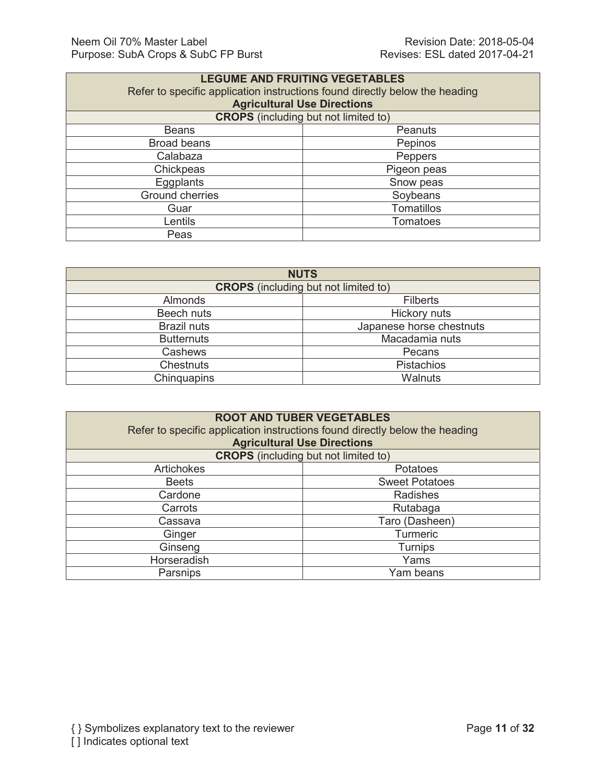| <b>LEGUME AND FRUITING VEGETABLES</b><br>Refer to specific application instructions found directly below the heading<br><b>Agricultural Use Directions</b> |                   |  |
|------------------------------------------------------------------------------------------------------------------------------------------------------------|-------------------|--|
| <b>CROPS</b> (including but not limited to)                                                                                                                |                   |  |
| <b>Beans</b>                                                                                                                                               | Peanuts           |  |
| <b>Broad beans</b>                                                                                                                                         | Pepinos           |  |
| Calabaza                                                                                                                                                   | <b>Peppers</b>    |  |
| Chickpeas                                                                                                                                                  | Pigeon peas       |  |
| Eggplants                                                                                                                                                  | Snow peas         |  |
| <b>Ground cherries</b>                                                                                                                                     | Soybeans          |  |
| Guar                                                                                                                                                       | <b>Tomatillos</b> |  |
| Lentils                                                                                                                                                    | <b>Tomatoes</b>   |  |
| Peas                                                                                                                                                       |                   |  |

| <b>NUTS</b>                                 |                          |  |
|---------------------------------------------|--------------------------|--|
| <b>CROPS</b> (including but not limited to) |                          |  |
| Almonds                                     | <b>Filberts</b>          |  |
| Beech nuts                                  | <b>Hickory nuts</b>      |  |
| <b>Brazil nuts</b>                          | Japanese horse chestnuts |  |
| <b>Butternuts</b>                           | Macadamia nuts           |  |
| Cashews                                     | Pecans                   |  |
| <b>Chestnuts</b>                            | Pistachios               |  |
| Chinquapins                                 | Walnuts                  |  |

| <b>ROOT AND TUBER VEGETABLES</b><br>Refer to specific application instructions found directly below the heading<br><b>Agricultural Use Directions</b> |                       |  |
|-------------------------------------------------------------------------------------------------------------------------------------------------------|-----------------------|--|
| <b>CROPS</b> (including but not limited to)                                                                                                           |                       |  |
| <b>Artichokes</b>                                                                                                                                     | <b>Potatoes</b>       |  |
| <b>Beets</b>                                                                                                                                          | <b>Sweet Potatoes</b> |  |
| Cardone                                                                                                                                               | Radishes              |  |
| Carrots                                                                                                                                               | Rutabaga              |  |
| Cassava                                                                                                                                               | Taro (Dasheen)        |  |
| Ginger                                                                                                                                                | <b>Turmeric</b>       |  |
| Ginseng                                                                                                                                               | <b>Turnips</b>        |  |
| Horseradish                                                                                                                                           | Yams                  |  |
| Parsnips                                                                                                                                              | Yam beans             |  |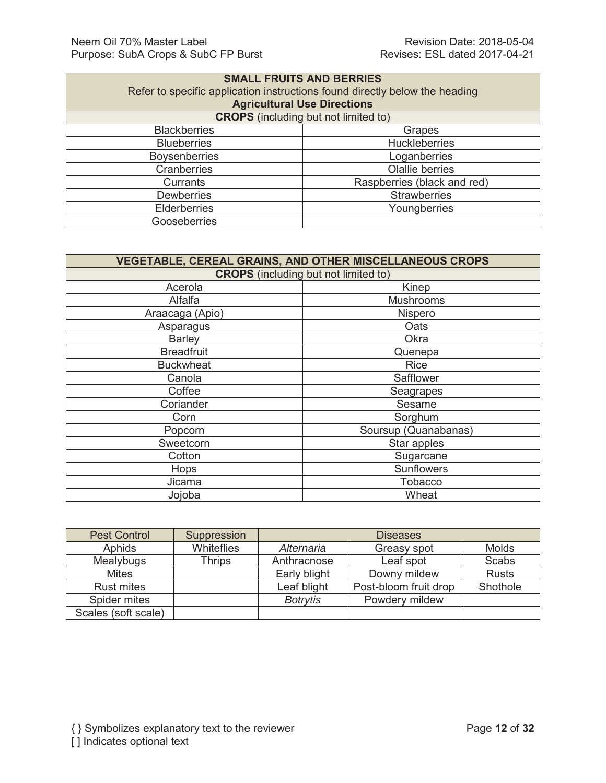| <b>SMALL FRUITS AND BERRIES</b><br>Refer to specific application instructions found directly below the heading<br><b>Agricultural Use Directions</b> |                             |  |
|------------------------------------------------------------------------------------------------------------------------------------------------------|-----------------------------|--|
| <b>CROPS</b> (including but not limited to)                                                                                                          |                             |  |
| <b>Blackberries</b>                                                                                                                                  | Grapes                      |  |
| <b>Blueberries</b>                                                                                                                                   | <b>Huckleberries</b>        |  |
| <b>Boysenberries</b>                                                                                                                                 | Loganberries                |  |
| <b>Cranberries</b>                                                                                                                                   | <b>Olallie berries</b>      |  |
| Currants                                                                                                                                             | Raspberries (black and red) |  |
| <b>Dewberries</b>                                                                                                                                    | <b>Strawberries</b>         |  |
| <b>Elderberries</b>                                                                                                                                  | Youngberries                |  |
| Gooseberries                                                                                                                                         |                             |  |

| <b>VEGETABLE, CEREAL GRAINS, AND OTHER MISCELLANEOUS CROPS</b> |                      |  |  |
|----------------------------------------------------------------|----------------------|--|--|
| <b>CROPS</b> (including but not limited to)                    |                      |  |  |
| Acerola                                                        | Kinep                |  |  |
| Alfalfa                                                        | <b>Mushrooms</b>     |  |  |
| Araacaga (Apio)                                                | Nispero              |  |  |
| Asparagus                                                      | Oats                 |  |  |
| <b>Barley</b>                                                  | Okra                 |  |  |
| <b>Breadfruit</b>                                              | Quenepa              |  |  |
| <b>Buckwheat</b>                                               | <b>Rice</b>          |  |  |
| Canola                                                         | Safflower            |  |  |
| Coffee                                                         | Seagrapes            |  |  |
| Coriander                                                      | Sesame               |  |  |
| Corn                                                           | Sorghum              |  |  |
| Popcorn                                                        | Soursup (Quanabanas) |  |  |
| Sweetcorn                                                      | Star apples          |  |  |
| Cotton                                                         | Sugarcane            |  |  |
| Hops                                                           | <b>Sunflowers</b>    |  |  |
| Jicama                                                         | <b>Tobacco</b>       |  |  |
| Jojoba                                                         | Wheat                |  |  |

| <b>Pest Control</b> | Suppression       |                 | <b>Diseases</b>       |              |
|---------------------|-------------------|-----------------|-----------------------|--------------|
| <b>Aphids</b>       | <b>Whiteflies</b> | Alternaria      | Greasy spot           | <b>Molds</b> |
| Mealybugs           | Thrips            | Anthracnose     | Leaf spot             | <b>Scabs</b> |
| <b>Mites</b>        |                   | Early blight    | Downy mildew          | <b>Rusts</b> |
| <b>Rust mites</b>   |                   | Leaf blight     | Post-bloom fruit drop | Shothole     |
| Spider mites        |                   | <b>Botrytis</b> | Powdery mildew        |              |
| Scales (soft scale) |                   |                 |                       |              |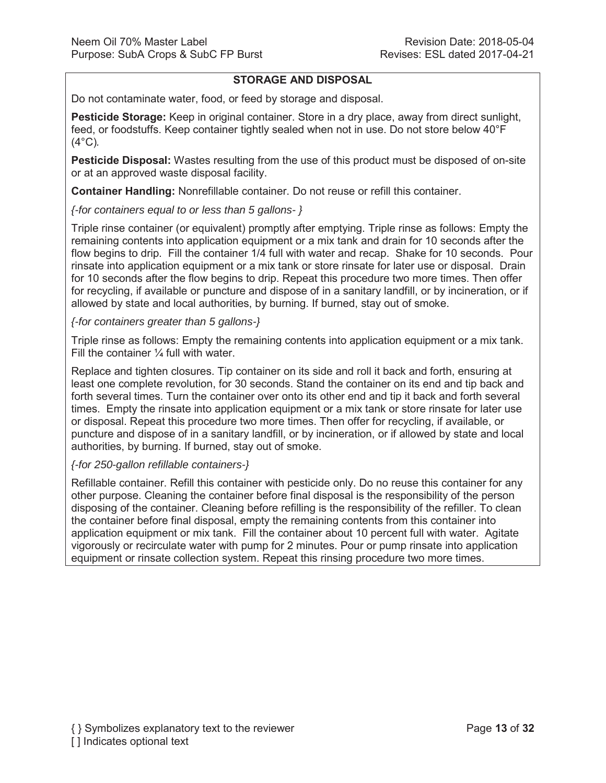# **STORAGE AND DISPOSAL**

Do not contaminate water, food, or feed by storage and disposal.

**Pesticide Storage:** Keep in original container. Store in a dry place, away from direct sunlight, feed, or foodstuffs. Keep container tightly sealed when not in use. Do not store below 40°F (4°C)*.*

**Pesticide Disposal:** Wastes resulting from the use of this product must be disposed of on-site or at an approved waste disposal facility.

**Container Handling:** Nonrefillable container. Do not reuse or refill this container.

*{-for containers equal to or less than 5 gallons- }*

Triple rinse container (or equivalent) promptly after emptying. Triple rinse as follows: Empty the remaining contents into application equipment or a mix tank and drain for 10 seconds after the flow begins to drip. Fill the container 1/4 full with water and recap. Shake for 10 seconds. Pour rinsate into application equipment or a mix tank or store rinsate for later use or disposal. Drain for 10 seconds after the flow begins to drip. Repeat this procedure two more times. Then offer for recycling, if available or puncture and dispose of in a sanitary landfill, or by incineration, or if allowed by state and local authorities, by burning. If burned, stay out of smoke.

*{-for containers greater than 5 gallons-}*

Triple rinse as follows: Empty the remaining contents into application equipment or a mix tank. Fill the container  $\frac{1}{4}$  full with water.

Replace and tighten closures. Tip container on its side and roll it back and forth, ensuring at least one complete revolution, for 30 seconds. Stand the container on its end and tip back and forth several times. Turn the container over onto its other end and tip it back and forth several times. Empty the rinsate into application equipment or a mix tank or store rinsate for later use or disposal. Repeat this procedure two more times. Then offer for recycling, if available, or puncture and dispose of in a sanitary landfill, or by incineration, or if allowed by state and local authorities, by burning. If burned, stay out of smoke.

# *{-for 250-gallon refillable containers-}*

Refillable container. Refill this container with pesticide only. Do no reuse this container for any other purpose. Cleaning the container before final disposal is the responsibility of the person disposing of the container. Cleaning before refilling is the responsibility of the refiller. To clean the container before final disposal, empty the remaining contents from this container into application equipment or mix tank. Fill the container about 10 percent full with water. Agitate vigorously or recirculate water with pump for 2 minutes. Pour or pump rinsate into application equipment or rinsate collection system. Repeat this rinsing procedure two more times.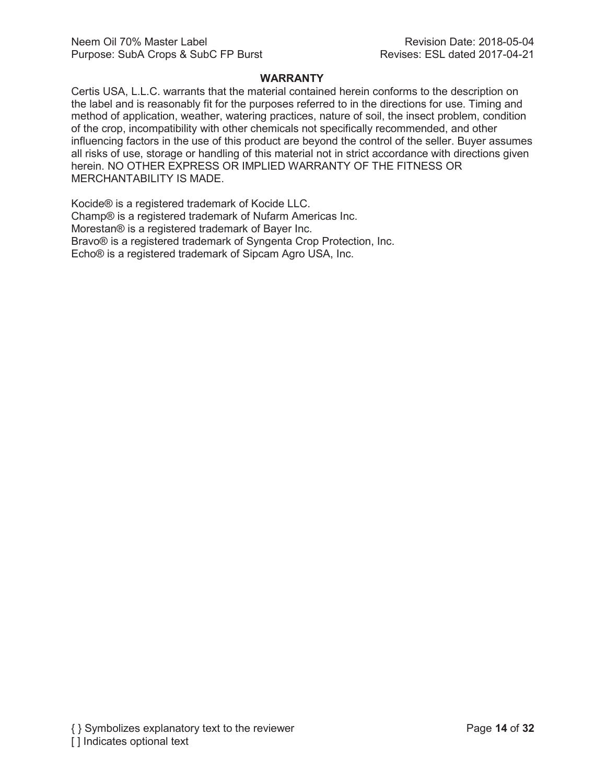#### **WARRANTY**

Certis USA, L.L.C. warrants that the material contained herein conforms to the description on the label and is reasonably fit for the purposes referred to in the directions for use. Timing and method of application, weather, watering practices, nature of soil, the insect problem, condition of the crop, incompatibility with other chemicals not specifically recommended, and other influencing factors in the use of this product are beyond the control of the seller. Buyer assumes all risks of use, storage or handling of this material not in strict accordance with directions given herein. NO OTHER EXPRESS OR IMPLIED WARRANTY OF THE FITNESS OR MERCHANTABILITY IS MADE.

Kocide® is a registered trademark of Kocide LLC. Champ® is a registered trademark of Nufarm Americas Inc. Morestan® is a registered trademark of Bayer Inc. Bravo® is a registered trademark of Syngenta Crop Protection, Inc. Echo® is a registered trademark of Sipcam Agro USA, Inc.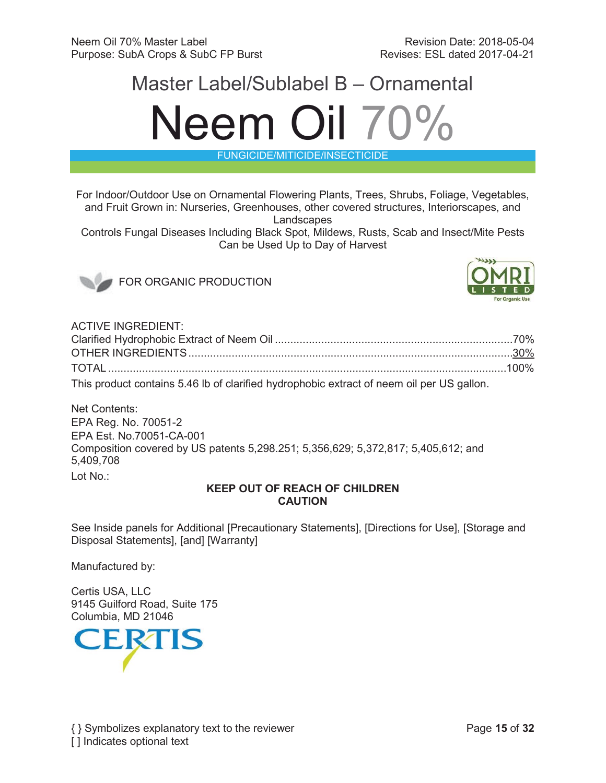# Master Label/Sublabel B – Ornamental Neem Oil 70%

FUNGICIDE/MITICIDE/INSECTICIDE

For Indoor/Outdoor Use on Ornamental Flowering Plants, Trees, Shrubs, Foliage, Vegetables, and Fruit Grown in: Nurseries, Greenhouses, other covered structures, Interiorscapes, and **Landscapes** 

Controls Fungal Diseases Including Black Spot, Mildews, Rusts, Scab and Insect/Mite Pests Can be Used Up to Day of Harvest



FOR ORGANIC PRODUCTION



ACTIVE INGREDIENT:

| This product contains 5.46 lb of clarified hydrophobic extract of neem oil per US gallon. |  |
|-------------------------------------------------------------------------------------------|--|

Net Contents: EPA Reg. No. 70051-2 EPA Est. No.70051-CA-001 Composition covered by US patents 5,298.251; 5,356,629; 5,372,817; 5,405,612; and 5,409,708 Lot No.:

# **KEEP OUT OF REACH OF CHILDREN CAUTION**

See Inside panels for Additional [Precautionary Statements], [Directions for Use], [Storage and Disposal Statements], [and] [Warranty]

Manufactured by:

Certis USA, LLC 9145 Guilford Road, Suite 175 Columbia, MD 21046

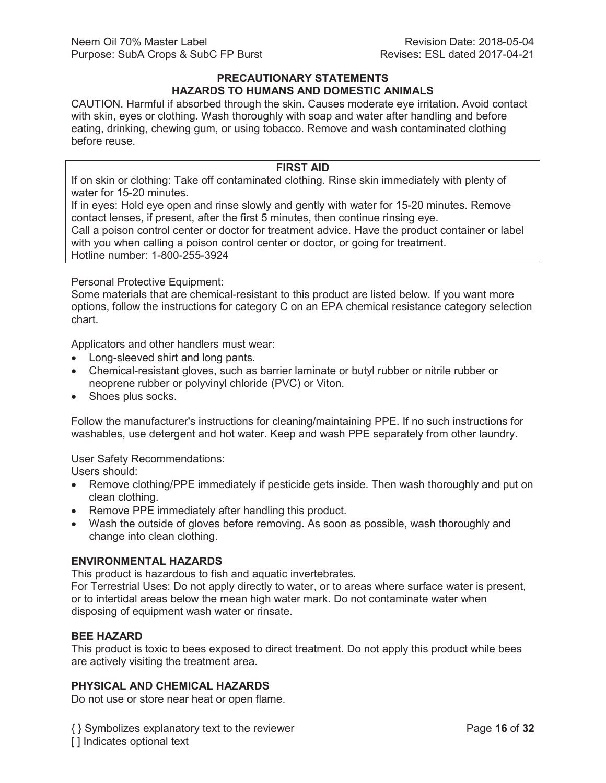#### **PRECAUTIONARY STATEMENTS HAZARDS TO HUMANS AND DOMESTIC ANIMALS**

CAUTION. Harmful if absorbed through the skin. Causes moderate eye irritation. Avoid contact with skin, eyes or clothing. Wash thoroughly with soap and water after handling and before eating, drinking, chewing gum, or using tobacco. Remove and wash contaminated clothing before reuse.

## **FIRST AID**

If on skin or clothing: Take off contaminated clothing. Rinse skin immediately with plenty of water for 15-20 minutes.

If in eyes: Hold eye open and rinse slowly and gently with water for 15-20 minutes. Remove contact lenses, if present, after the first 5 minutes, then continue rinsing eye.

Call a poison control center or doctor for treatment advice. Have the product container or label with you when calling a poison control center or doctor, or going for treatment. Hotline number: 1-800-255-3924

Personal Protective Equipment:

Some materials that are chemical-resistant to this product are listed below. If you want more options, follow the instructions for category C on an EPA chemical resistance category selection chart.

Applicators and other handlers must wear:

- Long-sleeved shirt and long pants.
- Chemical-resistant gloves, such as barrier laminate or butyl rubber or nitrile rubber or neoprene rubber or polyvinyl chloride (PVC) or Viton.
- Shoes plus socks.

Follow the manufacturer's instructions for cleaning/maintaining PPE. If no such instructions for washables, use detergent and hot water. Keep and wash PPE separately from other laundry.

User Safety Recommendations:

Users should:

- Remove clothing/PPE immediately if pesticide gets inside. Then wash thoroughly and put on clean clothing.
- Remove PPE immediately after handling this product.
- Wash the outside of gloves before removing. As soon as possible, wash thoroughly and change into clean clothing.

# **ENVIRONMENTAL HAZARDS**

This product is hazardous to fish and aquatic invertebrates.

For Terrestrial Uses: Do not apply directly to water, or to areas where surface water is present, or to intertidal areas below the mean high water mark. Do not contaminate water when disposing of equipment wash water or rinsate.

# **BEE HAZARD**

This product is toxic to bees exposed to direct treatment. Do not apply this product while bees are actively visiting the treatment area.

# **PHYSICAL AND CHEMICAL HAZARDS**

Do not use or store near heat or open flame.

{ } Symbolizes explanatory text to the reviewer Page **16** of **32** [] Indicates optional text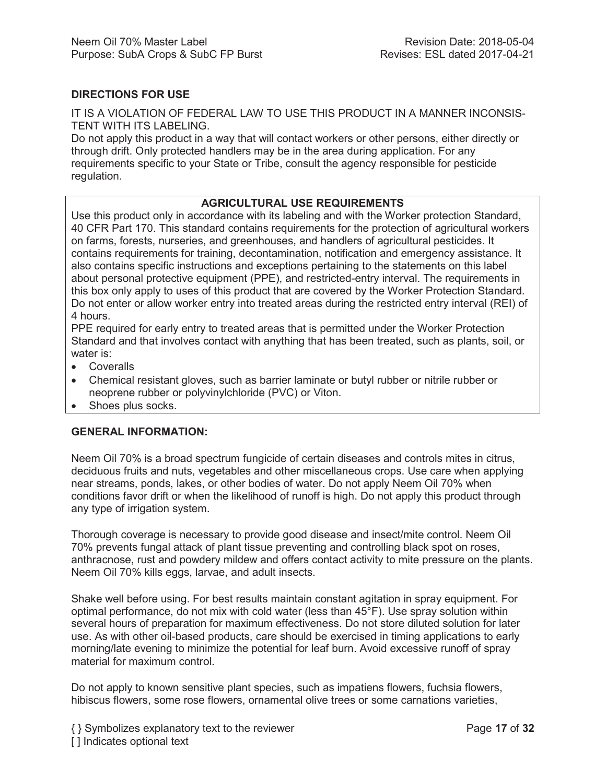# **DIRECTIONS FOR USE**

IT IS A VIOLATION OF FEDERAL LAW TO USE THIS PRODUCT IN A MANNER INCONSIS-TENT WITH ITS LABELING.

Do not apply this product in a way that will contact workers or other persons, either directly or through drift. Only protected handlers may be in the area during application. For any requirements specific to your State or Tribe, consult the agency responsible for pesticide regulation.

### **AGRICULTURAL USE REQUIREMENTS**

Use this product only in accordance with its labeling and with the Worker protection Standard, 40 CFR Part 170. This standard contains requirements for the protection of agricultural workers on farms, forests, nurseries, and greenhouses, and handlers of agricultural pesticides. It contains requirements for training, decontamination, notification and emergency assistance. It also contains specific instructions and exceptions pertaining to the statements on this label about personal protective equipment (PPE), and restricted-entry interval. The requirements in this box only apply to uses of this product that are covered by the Worker Protection Standard. Do not enter or allow worker entry into treated areas during the restricted entry interval (REI) of 4 hours.

PPE required for early entry to treated areas that is permitted under the Worker Protection Standard and that involves contact with anything that has been treated, such as plants, soil, or water is:

- Coveralls
- Chemical resistant gloves, such as barrier laminate or butyl rubber or nitrile rubber or neoprene rubber or polyvinylchloride (PVC) or Viton.
- Shoes plus socks.

#### **GENERAL INFORMATION:**

Neem Oil 70% is a broad spectrum fungicide of certain diseases and controls mites in citrus, deciduous fruits and nuts, vegetables and other miscellaneous crops. Use care when applying near streams, ponds, lakes, or other bodies of water. Do not apply Neem Oil 70% when conditions favor drift or when the likelihood of runoff is high. Do not apply this product through any type of irrigation system.

Thorough coverage is necessary to provide good disease and insect/mite control. Neem Oil 70% prevents fungal attack of plant tissue preventing and controlling black spot on roses, anthracnose, rust and powdery mildew and offers contact activity to mite pressure on the plants. Neem Oil 70% kills eggs, larvae, and adult insects.

Shake well before using. For best results maintain constant agitation in spray equipment. For optimal performance, do not mix with cold water (less than 45°F). Use spray solution within several hours of preparation for maximum effectiveness. Do not store diluted solution for later use. As with other oil-based products, care should be exercised in timing applications to early morning/late evening to minimize the potential for leaf burn. Avoid excessive runoff of spray material for maximum control.

Do not apply to known sensitive plant species, such as impatiens flowers, fuchsia flowers, hibiscus flowers, some rose flowers, ornamental olive trees or some carnations varieties,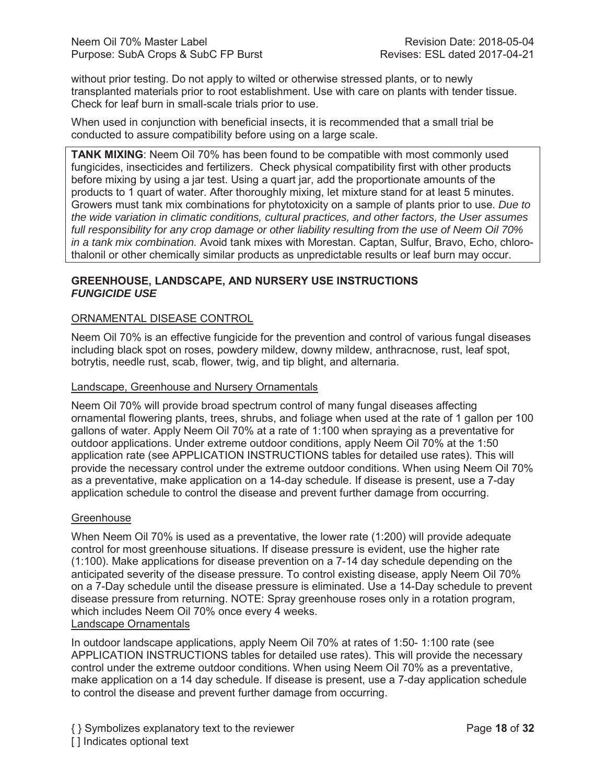without prior testing. Do not apply to wilted or otherwise stressed plants, or to newly transplanted materials prior to root establishment. Use with care on plants with tender tissue. Check for leaf burn in small-scale trials prior to use.

When used in conjunction with beneficial insects, it is recommended that a small trial be conducted to assure compatibility before using on a large scale.

**TANK MIXING**: Neem Oil 70% has been found to be compatible with most commonly used fungicides, insecticides and fertilizers. Check physical compatibility first with other products before mixing by using a jar test. Using a quart jar, add the proportionate amounts of the products to 1 quart of water. After thoroughly mixing, let mixture stand for at least 5 minutes. Growers must tank mix combinations for phytotoxicity on a sample of plants prior to use. *Due to the wide variation in climatic conditions, cultural practices, and other factors, the User assumes full responsibility for any crop damage or other liability resulting from the use of Neem Oil 70% in a tank mix combination.* Avoid tank mixes with Morestan. Captan, Sulfur, Bravo, Echo, chlorothalonil or other chemically similar products as unpredictable results or leaf burn may occur.

## **GREENHOUSE, LANDSCAPE, AND NURSERY USE INSTRUCTIONS** *FUNGICIDE USE*

# ORNAMENTAL DISEASE CONTROL

Neem Oil 70% is an effective fungicide for the prevention and control of various fungal diseases including black spot on roses, powdery mildew, downy mildew, anthracnose, rust, leaf spot, botrytis, needle rust, scab, flower, twig, and tip blight, and alternaria.

#### Landscape, Greenhouse and Nursery Ornamentals

Neem Oil 70% will provide broad spectrum control of many fungal diseases affecting ornamental flowering plants, trees, shrubs, and foliage when used at the rate of 1 gallon per 100 gallons of water. Apply Neem Oil 70% at a rate of 1:100 when spraying as a preventative for outdoor applications. Under extreme outdoor conditions, apply Neem Oil 70% at the 1:50 application rate (see APPLICATION INSTRUCTIONS tables for detailed use rates). This will provide the necessary control under the extreme outdoor conditions. When using Neem Oil 70% as a preventative, make application on a 14-day schedule. If disease is present, use a 7-day application schedule to control the disease and prevent further damage from occurring.

#### **Greenhouse**

When Neem Oil 70% is used as a preventative, the lower rate (1:200) will provide adequate control for most greenhouse situations. If disease pressure is evident, use the higher rate (1:100). Make applications for disease prevention on a 7-14 day schedule depending on the anticipated severity of the disease pressure. To control existing disease, apply Neem Oil 70% on a 7-Day schedule until the disease pressure is eliminated. Use a 14-Day schedule to prevent disease pressure from returning. NOTE: Spray greenhouse roses only in a rotation program, which includes Neem Oil 70% once every 4 weeks.

#### Landscape Ornamentals

In outdoor landscape applications, apply Neem Oil 70% at rates of 1:50- 1:100 rate (see APPLICATION INSTRUCTIONS tables for detailed use rates). This will provide the necessary control under the extreme outdoor conditions. When using Neem Oil 70% as a preventative, make application on a 14 day schedule. If disease is present, use a 7-day application schedule to control the disease and prevent further damage from occurring.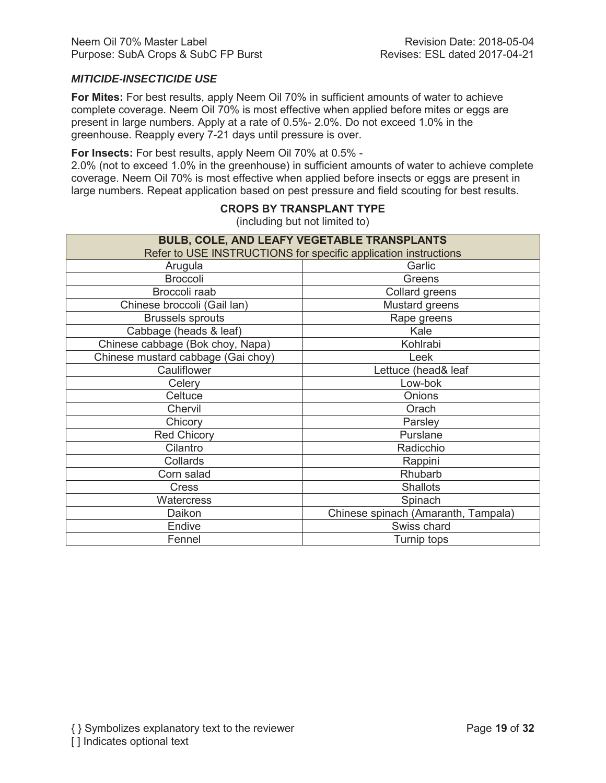# *MITICIDE-INSECTICIDE USE*

**For Mites:** For best results, apply Neem Oil 70% in sufficient amounts of water to achieve complete coverage. Neem Oil 70% is most effective when applied before mites or eggs are present in large numbers. Apply at a rate of 0.5%- 2.0%. Do not exceed 1.0% in the greenhouse. Reapply every 7-21 days until pressure is over.

**For Insects:** For best results, apply Neem Oil 70% at 0.5% -

2.0% (not to exceed 1.0% in the greenhouse) in sufficient amounts of water to achieve complete coverage. Neem Oil 70% is most effective when applied before insects or eggs are present in large numbers. Repeat application based on pest pressure and field scouting for best results.

| BULB, COLE, AND LEAFY VEGETABLE TRANSPLANTS                     |                                     |  |  |
|-----------------------------------------------------------------|-------------------------------------|--|--|
| Refer to USE INSTRUCTIONS for specific application instructions |                                     |  |  |
| Arugula<br>Garlic                                               |                                     |  |  |
| <b>Broccoli</b>                                                 | Greens                              |  |  |
| Broccoli raab                                                   | Collard greens                      |  |  |
| Chinese broccoli (Gail lan)                                     | Mustard greens                      |  |  |
| <b>Brussels sprouts</b>                                         | Rape greens                         |  |  |
| Cabbage (heads & leaf)                                          | Kale                                |  |  |
| Chinese cabbage (Bok choy, Napa)                                | Kohlrabi                            |  |  |
| Chinese mustard cabbage (Gai choy)                              | Leek                                |  |  |
| Cauliflower                                                     | Lettuce (head& leaf                 |  |  |
| Celery                                                          | Low-bok                             |  |  |
| Celtuce                                                         | Onions                              |  |  |
| Chervil                                                         | Orach                               |  |  |
| Chicory                                                         | Parsley                             |  |  |
| <b>Red Chicory</b>                                              | Purslane                            |  |  |
| Cilantro                                                        | Radicchio                           |  |  |
| Collards                                                        | Rappini                             |  |  |
| Corn salad                                                      | Rhubarb                             |  |  |
| <b>Cress</b>                                                    | <b>Shallots</b>                     |  |  |
| <b>Watercress</b>                                               | Spinach                             |  |  |
| Daikon                                                          | Chinese spinach (Amaranth, Tampala) |  |  |
| Endive                                                          | Swiss chard                         |  |  |
| Fennel                                                          | Turnip tops                         |  |  |

# **CROPS BY TRANSPLANT TYPE**

(including but not limited to)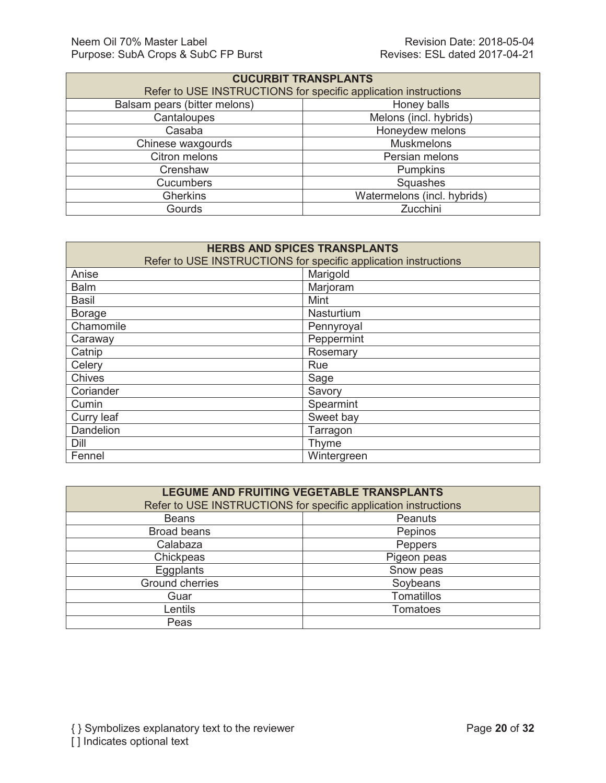| <b>CUCURBIT TRANSPLANTS</b>                                     |                             |  |
|-----------------------------------------------------------------|-----------------------------|--|
| Refer to USE INSTRUCTIONS for specific application instructions |                             |  |
| Balsam pears (bitter melons)                                    | Honey balls                 |  |
| Cantaloupes                                                     | Melons (incl. hybrids)      |  |
| Casaba                                                          | Honeydew melons             |  |
| Chinese waxgourds                                               | <b>Muskmelons</b>           |  |
| Citron melons                                                   | Persian melons              |  |
| Crenshaw                                                        | Pumpkins                    |  |
| <b>Cucumbers</b>                                                | Squashes                    |  |
| <b>Gherkins</b>                                                 | Watermelons (incl. hybrids) |  |
| Gourds                                                          | Zucchini                    |  |

| <b>HERBS AND SPICES TRANSPLANTS</b>                             |            |             |  |
|-----------------------------------------------------------------|------------|-------------|--|
| Refer to USE INSTRUCTIONS for specific application instructions |            |             |  |
| Anise                                                           | Marigold   |             |  |
| <b>Balm</b>                                                     |            | Marjoram    |  |
| Basil                                                           |            | Mint        |  |
| <b>Borage</b>                                                   |            | Nasturtium  |  |
| Chamomile                                                       | Pennyroyal |             |  |
| Caraway                                                         | Peppermint |             |  |
| Catnip                                                          |            | Rosemary    |  |
| Celery                                                          |            | Rue         |  |
| <b>Chives</b>                                                   |            | Sage        |  |
| Coriander<br>Savory                                             |            |             |  |
| Spearmint<br>Cumin                                              |            |             |  |
| Sweet bay<br>Curry leaf                                         |            |             |  |
| <b>Dandelion</b>                                                |            | Tarragon    |  |
| Dill                                                            |            | Thyme       |  |
| Fennel                                                          |            | Wintergreen |  |

| LEGUME AND FRUITING VEGETABLE TRANSPLANTS                       |                 |  |
|-----------------------------------------------------------------|-----------------|--|
| Refer to USE INSTRUCTIONS for specific application instructions |                 |  |
| <b>Beans</b>                                                    | Peanuts         |  |
| <b>Broad beans</b>                                              | Pepinos         |  |
| Calabaza                                                        | Peppers         |  |
| Chickpeas                                                       | Pigeon peas     |  |
| Eggplants                                                       | Snow peas       |  |
| <b>Ground cherries</b>                                          | Soybeans        |  |
| Guar                                                            | Tomatillos      |  |
| Lentils                                                         | <b>Tomatoes</b> |  |
| Peas                                                            |                 |  |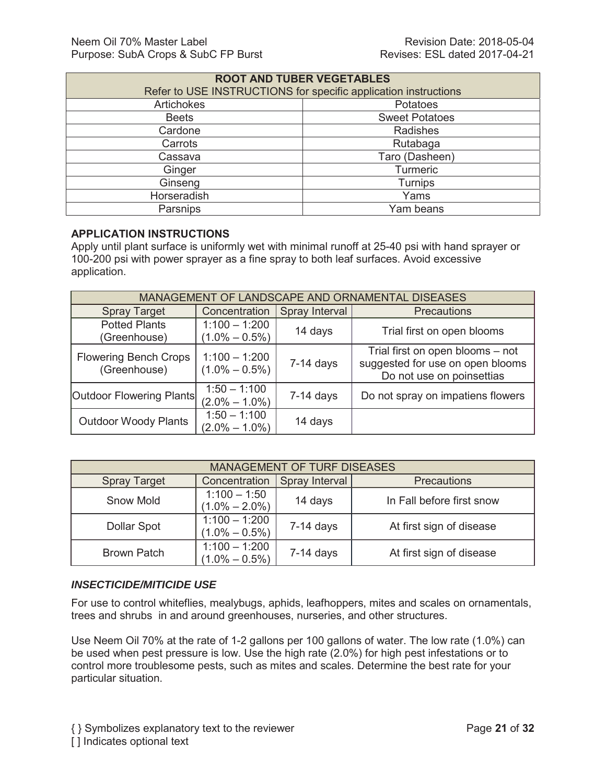| <b>ROOT AND TUBER VEGETABLES</b>                                |                       |  |
|-----------------------------------------------------------------|-----------------------|--|
| Refer to USE INSTRUCTIONS for specific application instructions |                       |  |
| <b>Artichokes</b>                                               | Potatoes              |  |
| <b>Beets</b>                                                    | <b>Sweet Potatoes</b> |  |
| Cardone                                                         | Radishes              |  |
| Carrots                                                         | Rutabaga              |  |
| Cassava                                                         | Taro (Dasheen)        |  |
| Ginger                                                          | <b>Turmeric</b>       |  |
| Ginseng                                                         | <b>Turnips</b>        |  |
| Horseradish                                                     | Yams                  |  |
| Parsnips                                                        | Yam beans             |  |

# **APPLICATION INSTRUCTIONS**

Apply until plant surface is uniformly wet with minimal runoff at 25-40 psi with hand sprayer or 100-200 psi with power sprayer as a fine spray to both leaf surfaces. Avoid excessive application.

| MANAGEMENT OF LANDSCAPE AND ORNAMENTAL DISEASES |                                      |                |                                                                                                   |
|-------------------------------------------------|--------------------------------------|----------------|---------------------------------------------------------------------------------------------------|
| <b>Spray Target</b>                             | Concentration                        | Spray Interval | <b>Precautions</b>                                                                                |
| <b>Potted Plants</b><br>(Greenhouse)            | $1:100 - 1:200$<br>$(1.0\% - 0.5\%)$ | 14 days        | Trial first on open blooms                                                                        |
| <b>Flowering Bench Crops</b><br>(Greenhouse)    | $1:100 - 1:200$<br>$(1.0\% - 0.5\%)$ | $7-14$ days    | Trial first on open blooms - not<br>suggested for use on open blooms<br>Do not use on poinsettias |
| Outdoor Flowering Plants                        | $1:50 - 1:100$<br>$(2.0\% - 1.0\%)$  | $7-14$ days    | Do not spray on impatiens flowers                                                                 |
| <b>Outdoor Woody Plants</b>                     | $1:50 - 1:100$<br>$(2.0\% - 1.0\%)$  | 14 days        |                                                                                                   |

| <b>MANAGEMENT OF TURF DISEASES</b>                                           |                                      |             |                           |
|------------------------------------------------------------------------------|--------------------------------------|-------------|---------------------------|
| Concentration<br>Spray Interval<br><b>Precautions</b><br><b>Spray Target</b> |                                      |             |                           |
| <b>Snow Mold</b>                                                             | $1:100 - 1:50$<br>$(1.0\% - 2.0\%)$  | 14 days     | In Fall before first snow |
| Dollar Spot                                                                  | $1:100 - 1:200$<br>$(1.0\% - 0.5\%)$ | $7-14$ days | At first sign of disease  |
| <b>Brown Patch</b>                                                           | $1:100 - 1:200$<br>$(1.0\% - 0.5\%)$ | $7-14$ days | At first sign of disease  |

# *INSECTICIDE/MITICIDE USE*

For use to control whiteflies, mealybugs, aphids, leafhoppers, mites and scales on ornamentals, trees and shrubs in and around greenhouses, nurseries, and other structures.

Use Neem Oil 70% at the rate of 1-2 gallons per 100 gallons of water. The low rate (1.0%) can be used when pest pressure is low. Use the high rate (2.0%) for high pest infestations or to control more troublesome pests, such as mites and scales. Determine the best rate for your particular situation.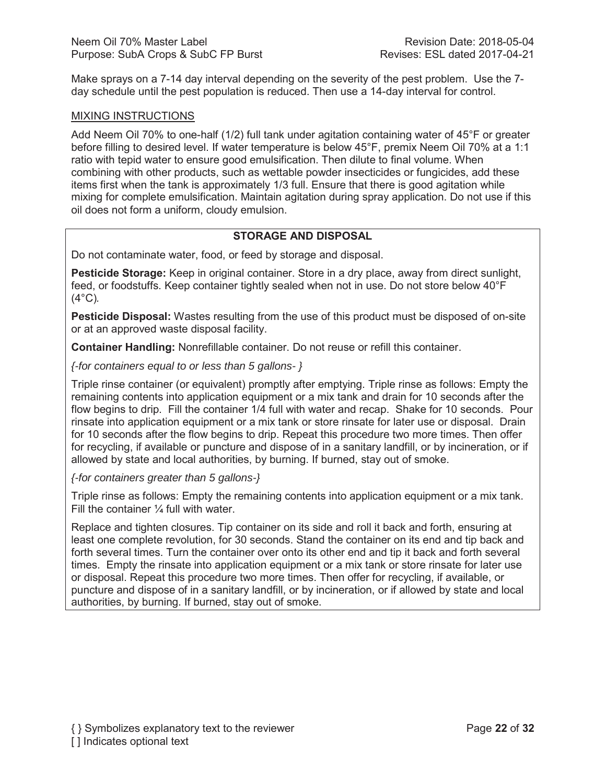Make sprays on a 7-14 day interval depending on the severity of the pest problem. Use the 7 day schedule until the pest population is reduced. Then use a 14-day interval for control.

#### MIXING INSTRUCTIONS

Add Neem Oil 70% to one-half (1/2) full tank under agitation containing water of 45°F or greater before filling to desired level. If water temperature is below 45°F, premix Neem Oil 70% at a 1:1 ratio with tepid water to ensure good emulsification. Then dilute to final volume. When combining with other products, such as wettable powder insecticides or fungicides, add these items first when the tank is approximately 1/3 full. Ensure that there is good agitation while mixing for complete emulsification. Maintain agitation during spray application. Do not use if this oil does not form a uniform, cloudy emulsion.

# **STORAGE AND DISPOSAL**

Do not contaminate water, food, or feed by storage and disposal.

**Pesticide Storage:** Keep in original container. Store in a dry place, away from direct sunlight, feed, or foodstuffs. Keep container tightly sealed when not in use. Do not store below 40°F (4°C)*.*

**Pesticide Disposal:** Wastes resulting from the use of this product must be disposed of on-site or at an approved waste disposal facility.

**Container Handling:** Nonrefillable container. Do not reuse or refill this container.

*{-for containers equal to or less than 5 gallons- }*

Triple rinse container (or equivalent) promptly after emptying. Triple rinse as follows: Empty the remaining contents into application equipment or a mix tank and drain for 10 seconds after the flow begins to drip. Fill the container 1/4 full with water and recap. Shake for 10 seconds. Pour rinsate into application equipment or a mix tank or store rinsate for later use or disposal. Drain for 10 seconds after the flow begins to drip. Repeat this procedure two more times. Then offer for recycling, if available or puncture and dispose of in a sanitary landfill, or by incineration, or if allowed by state and local authorities, by burning. If burned, stay out of smoke.

*{-for containers greater than 5 gallons-}*

Triple rinse as follows: Empty the remaining contents into application equipment or a mix tank. Fill the container  $\frac{1}{4}$  full with water.

Replace and tighten closures. Tip container on its side and roll it back and forth, ensuring at least one complete revolution, for 30 seconds. Stand the container on its end and tip back and forth several times. Turn the container over onto its other end and tip it back and forth several times. Empty the rinsate into application equipment or a mix tank or store rinsate for later use or disposal. Repeat this procedure two more times. Then offer for recycling, if available, or puncture and dispose of in a sanitary landfill, or by incineration, or if allowed by state and local authorities, by burning. If burned, stay out of smoke.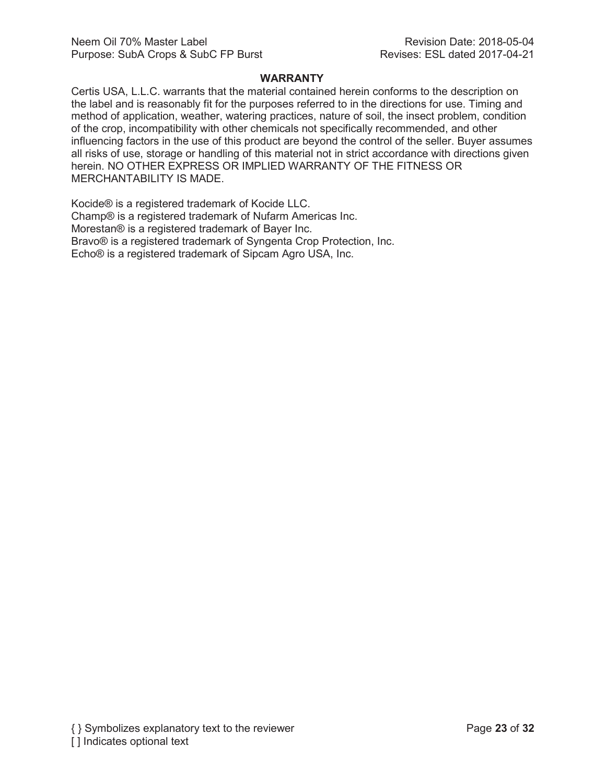#### **WARRANTY**

Certis USA, L.L.C. warrants that the material contained herein conforms to the description on the label and is reasonably fit for the purposes referred to in the directions for use. Timing and method of application, weather, watering practices, nature of soil, the insect problem, condition of the crop, incompatibility with other chemicals not specifically recommended, and other influencing factors in the use of this product are beyond the control of the seller. Buyer assumes all risks of use, storage or handling of this material not in strict accordance with directions given herein. NO OTHER EXPRESS OR IMPLIED WARRANTY OF THE FITNESS OR MERCHANTABILITY IS MADE.

Kocide® is a registered trademark of Kocide LLC. Champ® is a registered trademark of Nufarm Americas Inc. Morestan® is a registered trademark of Bayer Inc. Bravo® is a registered trademark of Syngenta Crop Protection, Inc. Echo® is a registered trademark of Sipcam Agro USA, Inc.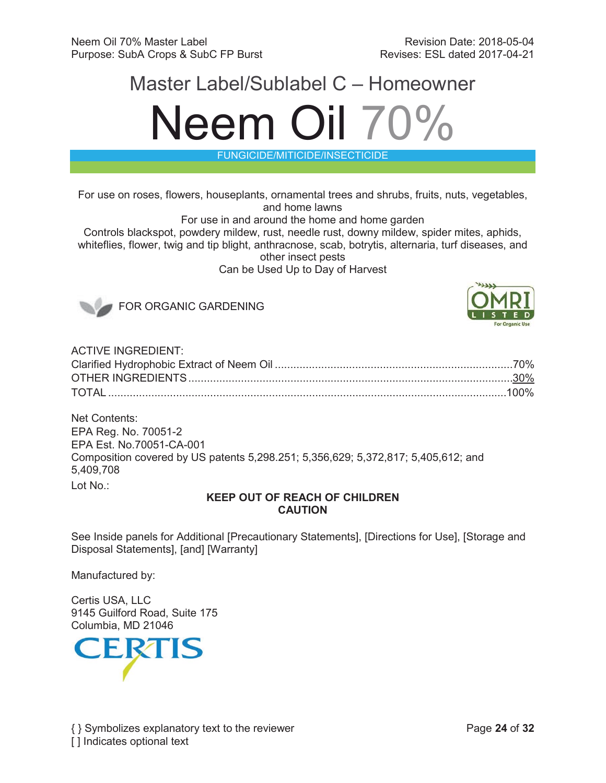# Master Label/Sublabel C – Homeowner Neem Oil 70%

FUNGICIDE/MITICIDE/INSECTICIDE

For use on roses, flowers, houseplants, ornamental trees and shrubs, fruits, nuts, vegetables, and home lawns

For use in and around the home and home garden

Controls blackspot, powdery mildew, rust, needle rust, downy mildew, spider mites, aphids, whiteflies, flower, twig and tip blight, anthracnose, scab, botrytis, alternaria, turf diseases, and other insect pests

Can be Used Up to Day of Harvest



FOR ORGANIC GARDENING



| <b>ACTIVE INGREDIENT:</b> |  |
|---------------------------|--|
|                           |  |
|                           |  |
|                           |  |
|                           |  |

Net Contents: EPA Reg. No. 70051-2 EPA Est. No.70051-CA-001 Composition covered by US patents 5,298.251; 5,356,629; 5,372,817; 5,405,612; and 5,409,708 Lot No.:

# **KEEP OUT OF REACH OF CHILDREN CAUTION**

See Inside panels for Additional [Precautionary Statements], [Directions for Use], [Storage and Disposal Statements], [and] [Warranty]

Manufactured by:

Certis USA, LLC 9145 Guilford Road, Suite 175 Columbia, MD 21046

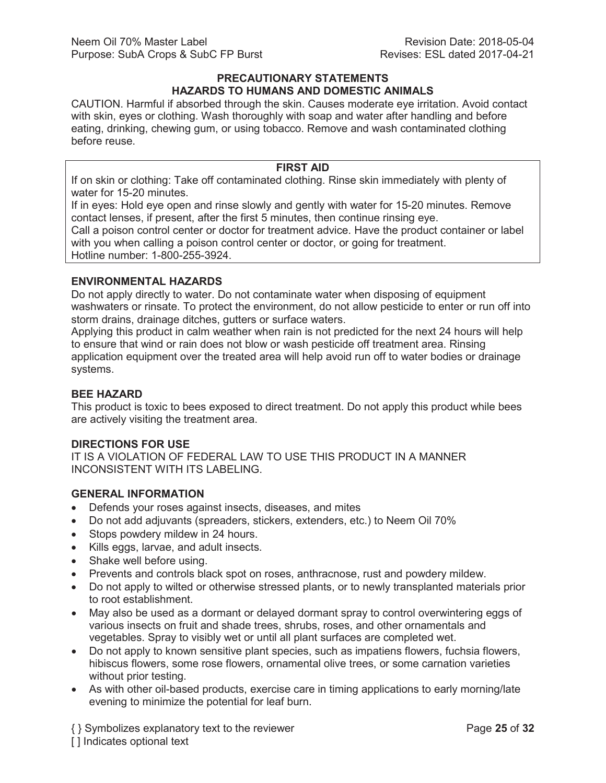#### **PRECAUTIONARY STATEMENTS HAZARDS TO HUMANS AND DOMESTIC ANIMALS**

CAUTION. Harmful if absorbed through the skin. Causes moderate eye irritation. Avoid contact with skin, eyes or clothing. Wash thoroughly with soap and water after handling and before eating, drinking, chewing gum, or using tobacco. Remove and wash contaminated clothing before reuse.

### **FIRST AID**

If on skin or clothing: Take off contaminated clothing. Rinse skin immediately with plenty of water for 15-20 minutes.

If in eyes: Hold eye open and rinse slowly and gently with water for 15-20 minutes. Remove contact lenses, if present, after the first 5 minutes, then continue rinsing eye.

Call a poison control center or doctor for treatment advice. Have the product container or label with you when calling a poison control center or doctor, or going for treatment. Hotline number: 1-800-255-3924.

#### **ENVIRONMENTAL HAZARDS**

Do not apply directly to water. Do not contaminate water when disposing of equipment washwaters or rinsate. To protect the environment, do not allow pesticide to enter or run off into storm drains, drainage ditches, gutters or surface waters.

Applying this product in calm weather when rain is not predicted for the next 24 hours will help to ensure that wind or rain does not blow or wash pesticide off treatment area. Rinsing application equipment over the treated area will help avoid run off to water bodies or drainage systems.

#### **BEE HAZARD**

This product is toxic to bees exposed to direct treatment. Do not apply this product while bees are actively visiting the treatment area.

#### **DIRECTIONS FOR USE**

IT IS A VIOLATION OF FEDERAL LAW TO USE THIS PRODUCT IN A MANNER INCONSISTENT WITH ITS LABELING.

# **GENERAL INFORMATION**

- Defends your roses against insects, diseases, and mites
- Do not add adjuvants (spreaders, stickers, extenders, etc.) to Neem Oil 70%
- Stops powdery mildew in 24 hours.
- Kills eggs, larvae, and adult insects.
- Shake well before using.
- Prevents and controls black spot on roses, anthracnose, rust and powdery mildew.
- Do not apply to wilted or otherwise stressed plants, or to newly transplanted materials prior to root establishment.
- May also be used as a dormant or delayed dormant spray to control overwintering eggs of various insects on fruit and shade trees, shrubs, roses, and other ornamentals and vegetables. Spray to visibly wet or until all plant surfaces are completed wet.
- Do not apply to known sensitive plant species, such as impatiens flowers, fuchsia flowers, hibiscus flowers, some rose flowers, ornamental olive trees, or some carnation varieties without prior testing.
- As with other oil-based products, exercise care in timing applications to early morning/late evening to minimize the potential for leaf burn.

{ } Symbolizes explanatory text to the reviewer Page **25** of **32** [ ] Indicates optional text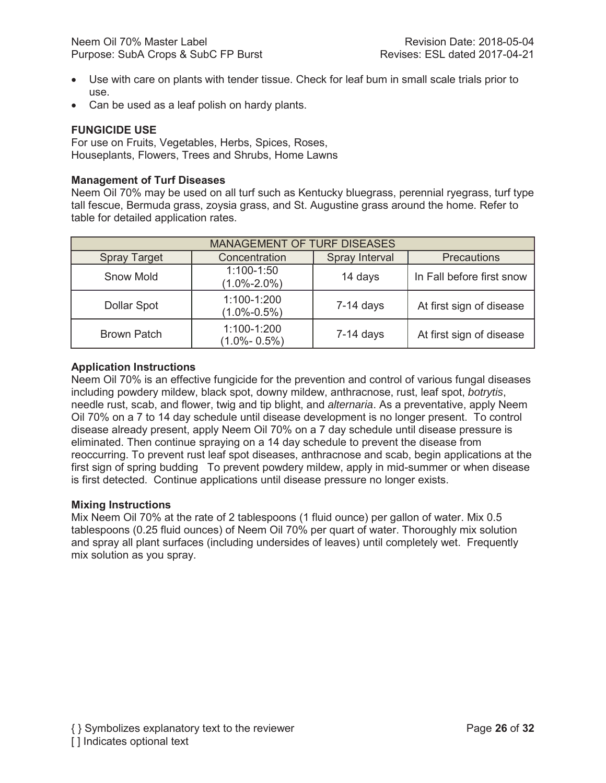- Use with care on plants with tender tissue. Check for leaf bum in small scale trials prior to use.
- Can be used as a leaf polish on hardy plants.

#### **FUNGICIDE USE**

For use on Fruits, Vegetables, Herbs, Spices, Roses, Houseplants, Flowers, Trees and Shrubs, Home Lawns

#### **Management of Turf Diseases**

Neem Oil 70% may be used on all turf such as Kentucky bluegrass, perennial ryegrass, turf type tall fescue, Bermuda grass, zoysia grass, and St. Augustine grass around the home. Refer to table for detailed application rates.

| <b>MANAGEMENT OF TURF DISEASES</b> |                                     |                |                           |
|------------------------------------|-------------------------------------|----------------|---------------------------|
| <b>Spray Target</b>                | Concentration                       | Spray Interval | <b>Precautions</b>        |
| <b>Snow Mold</b>                   | $1:100 - 1:50$<br>$(1.0\% - 2.0\%)$ | 14 days        | In Fall before first snow |
| <b>Dollar Spot</b>                 | 1:100-1:200<br>$(1.0\% - 0.5\%)$    | $7-14$ days    | At first sign of disease  |
| <b>Brown Patch</b>                 | 1:100-1:200<br>$(1.0\% - 0.5\%)$    | $7-14$ days    | At first sign of disease  |

## **Application Instructions**

Neem Oil 70% is an effective fungicide for the prevention and control of various fungal diseases including powdery mildew, black spot, downy mildew, anthracnose, rust, leaf spot, *botrytis*, needle rust, scab, and flower, twig and tip blight, and *alternaria*. As a preventative, apply Neem Oil 70% on a 7 to 14 day schedule until disease development is no longer present. To control disease already present, apply Neem Oil 70% on a 7 day schedule until disease pressure is eliminated. Then continue spraying on a 14 day schedule to prevent the disease from reoccurring. To prevent rust leaf spot diseases, anthracnose and scab, begin applications at the first sign of spring budding To prevent powdery mildew, apply in mid-summer or when disease is first detected. Continue applications until disease pressure no longer exists.

#### **Mixing Instructions**

Mix Neem Oil 70% at the rate of 2 tablespoons (1 fluid ounce) per gallon of water. Mix 0.5 tablespoons (0.25 fluid ounces) of Neem Oil 70% per quart of water. Thoroughly mix solution and spray all plant surfaces (including undersides of leaves) until completely wet. Frequently mix solution as you spray.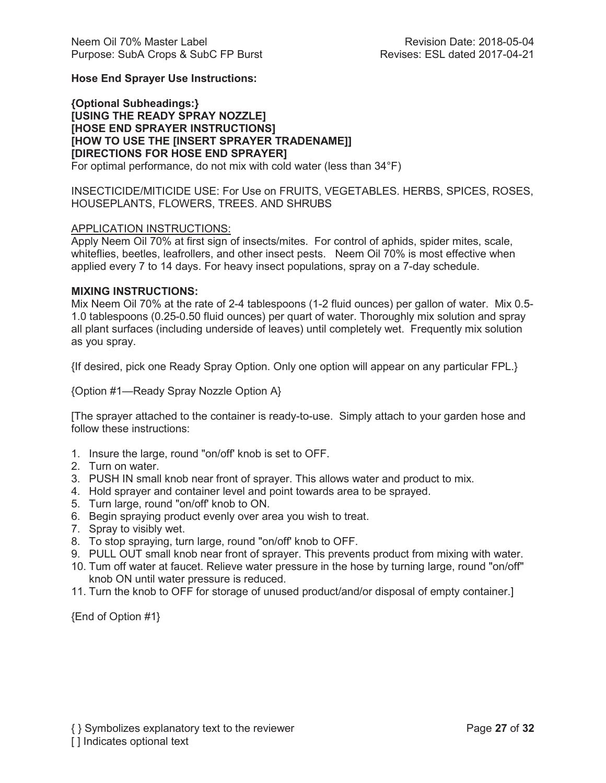# **Hose End Sprayer Use Instructions:**

**{Optional Subheadings:} [USING THE READY SPRAY NOZZLE] [HOSE END SPRAYER INSTRUCTIONS] [HOW TO USE THE [INSERT SPRAYER TRADENAME]] [DIRECTIONS FOR HOSE END SPRAYER]** For optimal performance, do not mix with cold water (less than 34°F)

INSECTICIDE/MITICIDE USE: For Use on FRUITS, VEGETABLES. HERBS, SPICES, ROSES, HOUSEPLANTS, FLOWERS, TREES. AND SHRUBS

#### APPLICATION INSTRUCTIONS:

Apply Neem Oil 70% at first sign of insects/mites. For control of aphids, spider mites, scale, whiteflies, beetles, leafrollers, and other insect pests. Neem Oil 70% is most effective when applied every 7 to 14 days. For heavy insect populations, spray on a 7-day schedule.

#### **MIXING INSTRUCTIONS:**

Mix Neem Oil 70% at the rate of 2-4 tablespoons (1-2 fluid ounces) per gallon of water. Mix 0.5- 1.0 tablespoons (0.25-0.50 fluid ounces) per quart of water. Thoroughly mix solution and spray all plant surfaces (including underside of leaves) until completely wet. Frequently mix solution as you spray.

{If desired, pick one Ready Spray Option. Only one option will appear on any particular FPL.}

{Option #1—Ready Spray Nozzle Option A}

[The sprayer attached to the container is ready-to-use. Simply attach to your garden hose and follow these instructions:

- 1. Insure the large, round "on/off' knob is set to OFF.
- 2. Turn on water.
- 3. PUSH IN small knob near front of sprayer. This allows water and product to mix.
- 4. Hold sprayer and container level and point towards area to be sprayed.
- 5. Turn large, round "on/off' knob to ON.
- 6. Begin spraying product evenly over area you wish to treat.
- 7. Spray to visibly wet.
- 8. To stop spraying, turn large, round "on/off' knob to OFF.
- 9. PULL OUT small knob near front of sprayer. This prevents product from mixing with water.
- 10. Tum off water at faucet. Relieve water pressure in the hose by turning large, round "on/off" knob ON until water pressure is reduced.
- 11. Turn the knob to OFF for storage of unused product/and/or disposal of empty container.]

{End of Option #1}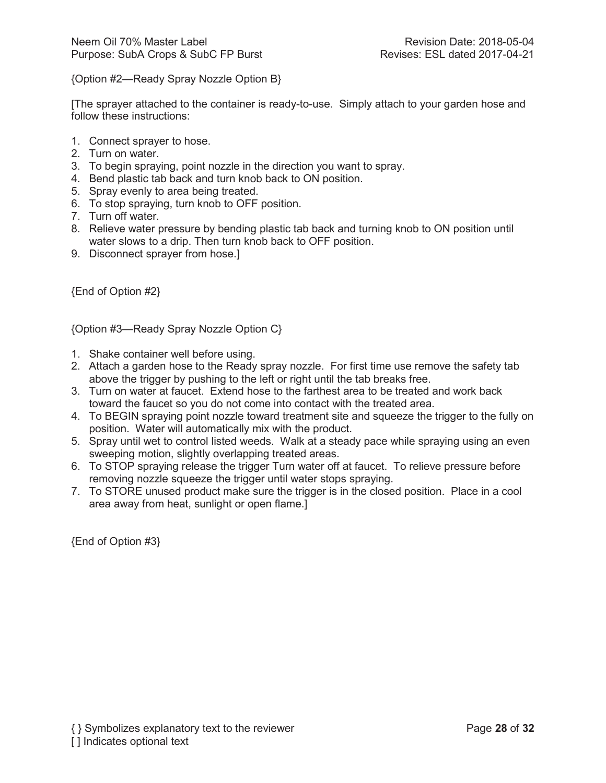{Option #2—Ready Spray Nozzle Option B}

[The sprayer attached to the container is ready-to-use. Simply attach to your garden hose and follow these instructions:

- 1. Connect sprayer to hose.
- 2. Turn on water.
- 3. To begin spraying, point nozzle in the direction you want to spray.
- 4. Bend plastic tab back and turn knob back to ON position.
- 5. Spray evenly to area being treated.
- 6. To stop spraying, turn knob to OFF position.
- 7. Turn off water.
- 8. Relieve water pressure by bending plastic tab back and turning knob to ON position until water slows to a drip. Then turn knob back to OFF position.
- 9. Disconnect sprayer from hose.]

{End of Option #2}

{Option #3—Ready Spray Nozzle Option C}

- 1. Shake container well before using.
- 2. Attach a garden hose to the Ready spray nozzle. For first time use remove the safety tab above the trigger by pushing to the left or right until the tab breaks free.
- 3. Turn on water at faucet. Extend hose to the farthest area to be treated and work back toward the faucet so you do not come into contact with the treated area.
- 4. To BEGIN spraying point nozzle toward treatment site and squeeze the trigger to the fully on position. Water will automatically mix with the product.
- 5. Spray until wet to control listed weeds. Walk at a steady pace while spraying using an even sweeping motion, slightly overlapping treated areas.
- 6. To STOP spraying release the trigger Turn water off at faucet. To relieve pressure before removing nozzle squeeze the trigger until water stops spraying.
- 7. To STORE unused product make sure the trigger is in the closed position. Place in a cool area away from heat, sunlight or open flame.]

{End of Option #3}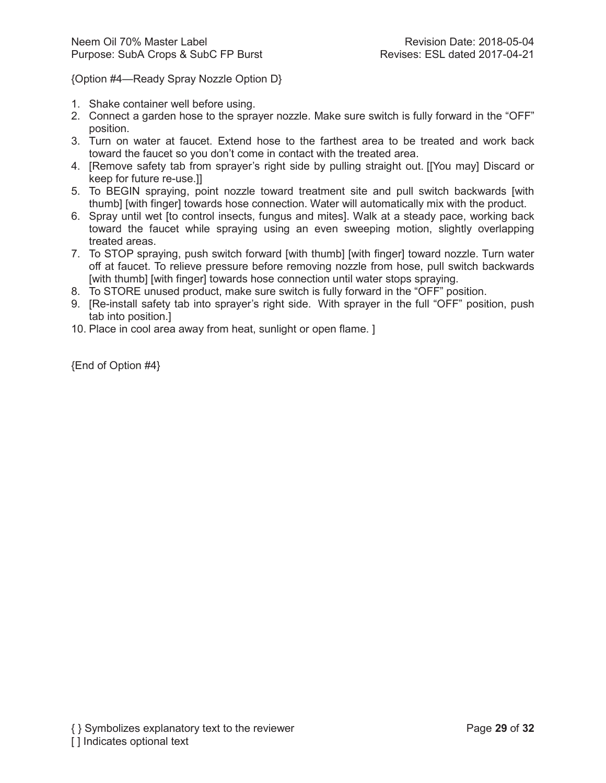{Option #4—Ready Spray Nozzle Option D}

- 1. Shake container well before using.
- 2. Connect a garden hose to the sprayer nozzle. Make sure switch is fully forward in the "OFF" position.
- 3. Turn on water at faucet. Extend hose to the farthest area to be treated and work back toward the faucet so you don't come in contact with the treated area.
- 4. [Remove safety tab from sprayer's right side by pulling straight out. [[You may] Discard or keep for future re-use.]]
- 5. To BEGIN spraying, point nozzle toward treatment site and pull switch backwards [with thumb] [with finger] towards hose connection. Water will automatically mix with the product.
- 6. Spray until wet [to control insects, fungus and mites]. Walk at a steady pace, working back toward the faucet while spraying using an even sweeping motion, slightly overlapping treated areas.
- 7. To STOP spraying, push switch forward [with thumb] [with finger] toward nozzle. Turn water off at faucet. To relieve pressure before removing nozzle from hose, pull switch backwards [with thumb] [with finger] towards hose connection until water stops spraying.
- 8. To STORE unused product, make sure switch is fully forward in the "OFF" position.
- 9. [Re-install safety tab into sprayer's right side. With sprayer in the full "OFF" position, push tab into position.]
- 10. Place in cool area away from heat, sunlight or open flame. ]

{End of Option #4}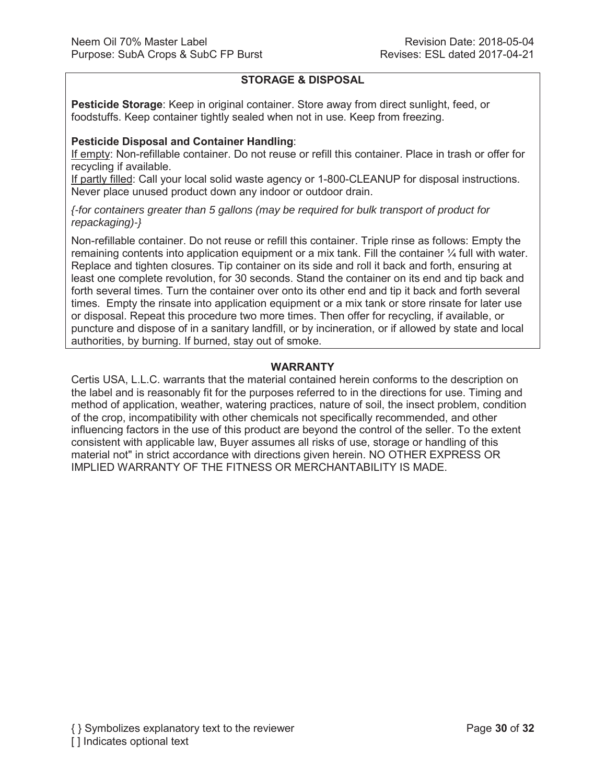# **STORAGE & DISPOSAL**

**Pesticide Storage**: Keep in original container. Store away from direct sunlight, feed, or foodstuffs. Keep container tightly sealed when not in use. Keep from freezing.

## **Pesticide Disposal and Container Handling**:

If empty: Non-refillable container. Do not reuse or refill this container. Place in trash or offer for recycling if available.

If partly filled: Call your local solid waste agency or 1-800-CLEANUP for disposal instructions. Never place unused product down any indoor or outdoor drain.

*{-for containers greater than 5 gallons (may be required for bulk transport of product for repackaging)-}*

Non-refillable container. Do not reuse or refill this container. Triple rinse as follows: Empty the remaining contents into application equipment or a mix tank. Fill the container ¼ full with water. Replace and tighten closures. Tip container on its side and roll it back and forth, ensuring at least one complete revolution, for 30 seconds. Stand the container on its end and tip back and forth several times. Turn the container over onto its other end and tip it back and forth several times. Empty the rinsate into application equipment or a mix tank or store rinsate for later use or disposal. Repeat this procedure two more times. Then offer for recycling, if available, or puncture and dispose of in a sanitary landfill, or by incineration, or if allowed by state and local authorities, by burning. If burned, stay out of smoke.

# **WARRANTY**

Certis USA, L.L.C. warrants that the material contained herein conforms to the description on the label and is reasonably fit for the purposes referred to in the directions for use. Timing and method of application, weather, watering practices, nature of soil, the insect problem, condition of the crop, incompatibility with other chemicals not specifically recommended, and other influencing factors in the use of this product are beyond the control of the seller. To the extent consistent with applicable law, Buyer assumes all risks of use, storage or handling of this material not" in strict accordance with directions given herein. NO OTHER EXPRESS OR IMPLIED WARRANTY OF THE FITNESS OR MERCHANTABILITY IS MADE.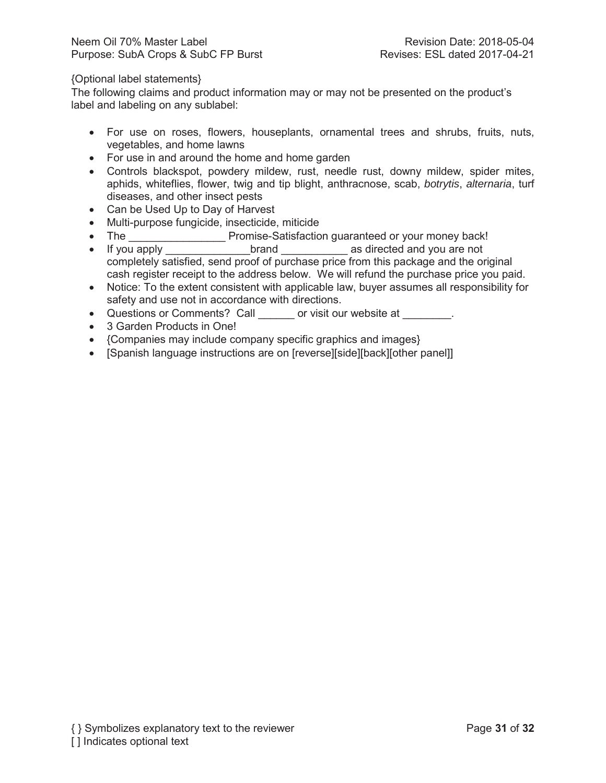## {Optional label statements}

The following claims and product information may or may not be presented on the product's label and labeling on any sublabel:

- For use on roses, flowers, houseplants, ornamental trees and shrubs, fruits, nuts, vegetables, and home lawns
- For use in and around the home and home garden
- Controls blackspot, powdery mildew, rust, needle rust, downy mildew, spider mites, aphids, whiteflies, flower, twig and tip blight, anthracnose, scab, *botrytis*, *alternaria*, turf diseases, and other insect pests
- Can be Used Up to Day of Harvest
- Multi-purpose fungicide, insecticide, miticide
- x The \_\_\_\_\_\_\_\_\_\_\_\_\_\_\_\_ Promise-Satisfaction guaranteed or your money back!
- If you apply **brand** as directed and you are not completely satisfied, send proof of purchase price from this package and the original cash register receipt to the address below. We will refund the purchase price you paid.
- Notice: To the extent consistent with applicable law, buyer assumes all responsibility for safety and use not in accordance with directions.
- Questions or Comments? Call \_\_\_\_\_\_ or visit our website at \_\_\_\_\_\_\_\_.
- 3 Garden Products in One!
- {Companies may include company specific graphics and images}
- [Spanish language instructions are on [reverse][side][back][other panel]]